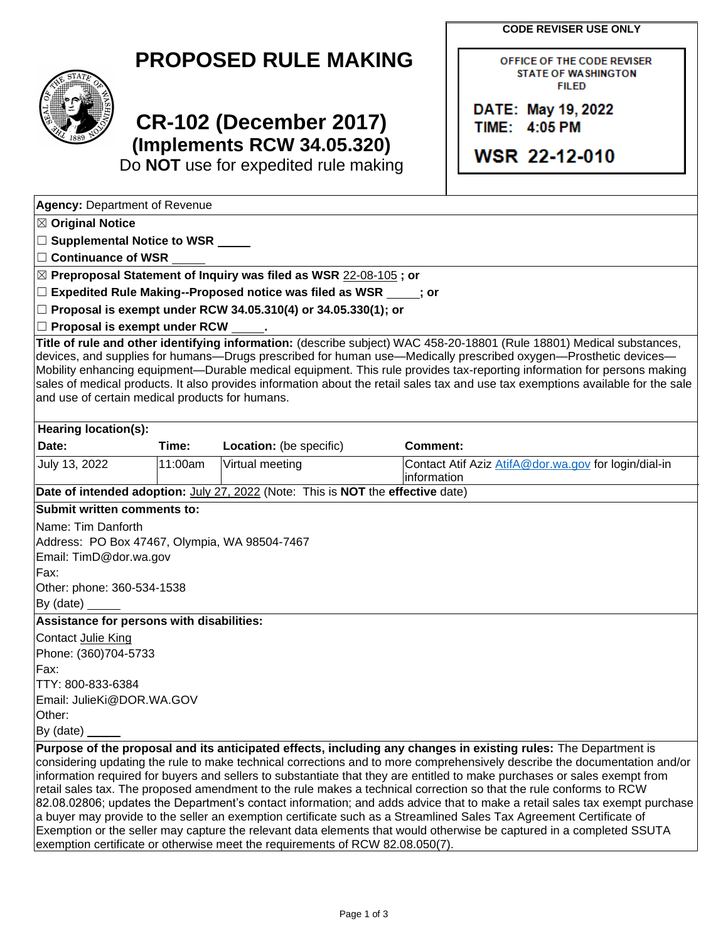| <b>CODE REVISER USE ONLY</b> |  |  |  |
|------------------------------|--|--|--|
|------------------------------|--|--|--|

OFFICE OF THE CODE REVISER **STATE OF WASHINGTON FILED** 

DATE: May 19, 2022 TIME: 4:05 PM

**WSR 22-12-010** 

| <b>PROPOSED RULE MAKING</b> |  |  |
|-----------------------------|--|--|
|-----------------------------|--|--|



# **CR-102 (December 2017) (Implements RCW 34.05.320)**

Do **NOT** use for expedited rule making

| <b>Agency: Department of Revenue</b>                   |                        |                                                                                 |                 |                                                                                                                                                                                                                                                                                                                                                                                                                                                                                                                                                                                                                                                                                                                                                                                                                                                                              |
|--------------------------------------------------------|------------------------|---------------------------------------------------------------------------------|-----------------|------------------------------------------------------------------------------------------------------------------------------------------------------------------------------------------------------------------------------------------------------------------------------------------------------------------------------------------------------------------------------------------------------------------------------------------------------------------------------------------------------------------------------------------------------------------------------------------------------------------------------------------------------------------------------------------------------------------------------------------------------------------------------------------------------------------------------------------------------------------------------|
| $\boxtimes$ Original Notice                            |                        |                                                                                 |                 |                                                                                                                                                                                                                                                                                                                                                                                                                                                                                                                                                                                                                                                                                                                                                                                                                                                                              |
| $\Box$ Supplemental Notice to WSR $\rule{1em}{0.15mm}$ |                        |                                                                                 |                 |                                                                                                                                                                                                                                                                                                                                                                                                                                                                                                                                                                                                                                                                                                                                                                                                                                                                              |
| $\Box$ Continuance of WSR                              |                        |                                                                                 |                 |                                                                                                                                                                                                                                                                                                                                                                                                                                                                                                                                                                                                                                                                                                                                                                                                                                                                              |
|                                                        |                        | $\boxtimes$ Preproposal Statement of Inquiry was filed as WSR 22-08-105; or     |                 |                                                                                                                                                                                                                                                                                                                                                                                                                                                                                                                                                                                                                                                                                                                                                                                                                                                                              |
|                                                        |                        | $\Box$ Expedited Rule Making--Proposed notice was filed as WSR $\Box$ ; or      |                 |                                                                                                                                                                                                                                                                                                                                                                                                                                                                                                                                                                                                                                                                                                                                                                                                                                                                              |
|                                                        |                        | $\Box$ Proposal is exempt under RCW 34.05.310(4) or 34.05.330(1); or            |                 |                                                                                                                                                                                                                                                                                                                                                                                                                                                                                                                                                                                                                                                                                                                                                                                                                                                                              |
| $\Box$ Proposal is exempt under RCW                    |                        |                                                                                 |                 |                                                                                                                                                                                                                                                                                                                                                                                                                                                                                                                                                                                                                                                                                                                                                                                                                                                                              |
| and use of certain medical products for humans.        |                        |                                                                                 |                 | Title of rule and other identifying information: (describe subject) WAC 458-20-18801 (Rule 18801) Medical substances,<br>devices, and supplies for humans—Drugs prescribed for human use—Medically prescribed oxygen—Prosthetic devices—<br>Mobility enhancing equipment—Durable medical equipment. This rule provides tax-reporting information for persons making<br>sales of medical products. It also provides information about the retail sales tax and use tax exemptions available for the sale                                                                                                                                                                                                                                                                                                                                                                      |
| <b>Hearing location(s):</b>                            |                        |                                                                                 |                 |                                                                                                                                                                                                                                                                                                                                                                                                                                                                                                                                                                                                                                                                                                                                                                                                                                                                              |
| Date:                                                  | Time:                  | Location: (be specific)                                                         | <b>Comment:</b> |                                                                                                                                                                                                                                                                                                                                                                                                                                                                                                                                                                                                                                                                                                                                                                                                                                                                              |
| July 13, 2022                                          | 11:00am                | Virtual meeting                                                                 | information     | Contact Atif Aziz AtifA@dor.wa.gov for login/dial-in                                                                                                                                                                                                                                                                                                                                                                                                                                                                                                                                                                                                                                                                                                                                                                                                                         |
|                                                        |                        | Date of intended adoption: July 27, 2022 (Note: This is NOT the effective date) |                 |                                                                                                                                                                                                                                                                                                                                                                                                                                                                                                                                                                                                                                                                                                                                                                                                                                                                              |
| Submit written comments to:                            |                        |                                                                                 |                 |                                                                                                                                                                                                                                                                                                                                                                                                                                                                                                                                                                                                                                                                                                                                                                                                                                                                              |
| Name: Tim Danforth                                     |                        |                                                                                 |                 |                                                                                                                                                                                                                                                                                                                                                                                                                                                                                                                                                                                                                                                                                                                                                                                                                                                                              |
| Address: PO Box 47467, Olympia, WA 98504-7467          |                        |                                                                                 |                 |                                                                                                                                                                                                                                                                                                                                                                                                                                                                                                                                                                                                                                                                                                                                                                                                                                                                              |
|                                                        | Email: TimD@dor.wa.gov |                                                                                 |                 |                                                                                                                                                                                                                                                                                                                                                                                                                                                                                                                                                                                                                                                                                                                                                                                                                                                                              |
| Fax:                                                   |                        |                                                                                 |                 |                                                                                                                                                                                                                                                                                                                                                                                                                                                                                                                                                                                                                                                                                                                                                                                                                                                                              |
| Other: phone: 360-534-1538                             |                        |                                                                                 |                 |                                                                                                                                                                                                                                                                                                                                                                                                                                                                                                                                                                                                                                                                                                                                                                                                                                                                              |
|                                                        |                        |                                                                                 |                 |                                                                                                                                                                                                                                                                                                                                                                                                                                                                                                                                                                                                                                                                                                                                                                                                                                                                              |
| Assistance for persons with disabilities:              |                        |                                                                                 |                 |                                                                                                                                                                                                                                                                                                                                                                                                                                                                                                                                                                                                                                                                                                                                                                                                                                                                              |
| Contact Julie King                                     |                        |                                                                                 |                 |                                                                                                                                                                                                                                                                                                                                                                                                                                                                                                                                                                                                                                                                                                                                                                                                                                                                              |
| Phone: (360)704-5733                                   |                        |                                                                                 |                 |                                                                                                                                                                                                                                                                                                                                                                                                                                                                                                                                                                                                                                                                                                                                                                                                                                                                              |
| Fax:                                                   |                        |                                                                                 |                 |                                                                                                                                                                                                                                                                                                                                                                                                                                                                                                                                                                                                                                                                                                                                                                                                                                                                              |
| TTY: 800-833-6384                                      |                        |                                                                                 |                 |                                                                                                                                                                                                                                                                                                                                                                                                                                                                                                                                                                                                                                                                                                                                                                                                                                                                              |
| Email: JulieKi@DOR.WA.GOV                              |                        |                                                                                 |                 |                                                                                                                                                                                                                                                                                                                                                                                                                                                                                                                                                                                                                                                                                                                                                                                                                                                                              |
| Other:<br>By (date)                                    |                        |                                                                                 |                 |                                                                                                                                                                                                                                                                                                                                                                                                                                                                                                                                                                                                                                                                                                                                                                                                                                                                              |
|                                                        |                        |                                                                                 |                 |                                                                                                                                                                                                                                                                                                                                                                                                                                                                                                                                                                                                                                                                                                                                                                                                                                                                              |
|                                                        |                        | exemption certificate or otherwise meet the requirements of RCW 82.08.050(7).   |                 | Purpose of the proposal and its anticipated effects, including any changes in existing rules: The Department is<br>considering updating the rule to make technical corrections and to more comprehensively describe the documentation and/or<br>information required for buyers and sellers to substantiate that they are entitled to make purchases or sales exempt from<br>retail sales tax. The proposed amendment to the rule makes a technical correction so that the rule conforms to RCW<br>82.08.02806; updates the Department's contact information; and adds advice that to make a retail sales tax exempt purchase<br>a buyer may provide to the seller an exemption certificate such as a Streamlined Sales Tax Agreement Certificate of<br>Exemption or the seller may capture the relevant data elements that would otherwise be captured in a completed SSUTA |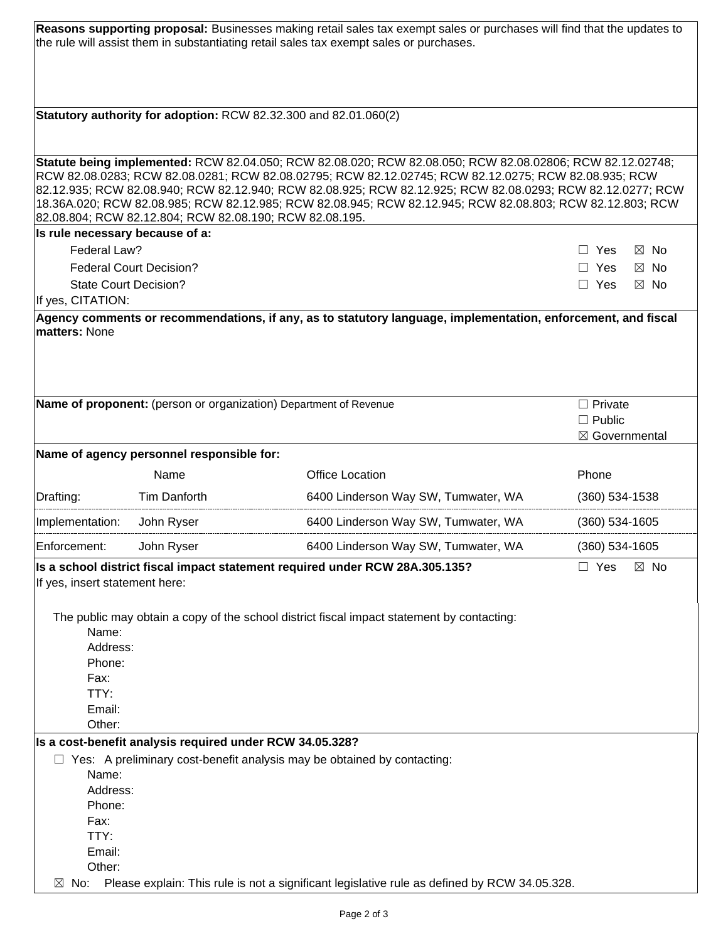|                                                                 |                                                                                | Reasons supporting proposal: Businesses making retail sales tax exempt sales or purchases will find that the updates to<br>the rule will assist them in substantiating retail sales tax exempt sales or purchases.                                                                                                                                                                                                                           |                                 |
|-----------------------------------------------------------------|--------------------------------------------------------------------------------|----------------------------------------------------------------------------------------------------------------------------------------------------------------------------------------------------------------------------------------------------------------------------------------------------------------------------------------------------------------------------------------------------------------------------------------------|---------------------------------|
|                                                                 | Statutory authority for adoption: RCW 82.32.300 and 82.01.060(2)               |                                                                                                                                                                                                                                                                                                                                                                                                                                              |                                 |
|                                                                 |                                                                                |                                                                                                                                                                                                                                                                                                                                                                                                                                              |                                 |
|                                                                 | 82.08.804; RCW 82.12.804; RCW 82.08.190; RCW 82.08.195.                        | Statute being implemented: RCW 82.04.050; RCW 82.08.020; RCW 82.08.050; RCW 82.08.02806; RCW 82.12.02748;<br>RCW 82.08.0283; RCW 82.08.0281; RCW 82.08.02795; RCW 82.12.02745; RCW 82.12.0275; RCW 82.08.935; RCW<br>82.12.935; RCW 82.08.940; RCW 82.12.940; RCW 82.08.925; RCW 82.12.925; RCW 82.08.0293; RCW 82.12.0277; RCW<br>18.36A.020; RCW 82.08.985; RCW 82.12.985; RCW 82.08.945; RCW 82.12.945; RCW 82.08.803; RCW 82.12.803; RCW |                                 |
| Is rule necessary because of a:                                 |                                                                                |                                                                                                                                                                                                                                                                                                                                                                                                                                              |                                 |
| Federal Law?                                                    |                                                                                |                                                                                                                                                                                                                                                                                                                                                                                                                                              | $\boxtimes$ No<br>Yes           |
|                                                                 | <b>Federal Court Decision?</b>                                                 |                                                                                                                                                                                                                                                                                                                                                                                                                                              | $\Box$ Yes<br>⊠ No              |
| <b>State Court Decision?</b>                                    |                                                                                |                                                                                                                                                                                                                                                                                                                                                                                                                                              | $\Box$ Yes<br>$\boxtimes$ No    |
| If yes, CITATION:                                               |                                                                                | Agency comments or recommendations, if any, as to statutory language, implementation, enforcement, and fiscal                                                                                                                                                                                                                                                                                                                                |                                 |
| matters: None                                                   |                                                                                |                                                                                                                                                                                                                                                                                                                                                                                                                                              |                                 |
|                                                                 | Name of proponent: (person or organization) Department of Revenue              |                                                                                                                                                                                                                                                                                                                                                                                                                                              | $\Box$ Private                  |
|                                                                 |                                                                                |                                                                                                                                                                                                                                                                                                                                                                                                                                              | $\Box$ Public<br>⊠ Governmental |
|                                                                 | Name of agency personnel responsible for:                                      |                                                                                                                                                                                                                                                                                                                                                                                                                                              |                                 |
|                                                                 | Name                                                                           | <b>Office Location</b>                                                                                                                                                                                                                                                                                                                                                                                                                       | Phone                           |
| Drafting:                                                       | <b>Tim Danforth</b>                                                            | 6400 Linderson Way SW, Tumwater, WA                                                                                                                                                                                                                                                                                                                                                                                                          | $(360)$ 534-1538                |
| Implementation:                                                 | John Ryser                                                                     | 6400 Linderson Way SW, Tumwater, WA                                                                                                                                                                                                                                                                                                                                                                                                          | $(360)$ 534-1605                |
| Enforcement:                                                    | John Ryser                                                                     | 6400 Linderson Way SW, Tumwater, WA                                                                                                                                                                                                                                                                                                                                                                                                          | $(360) 534 - 1605$              |
| If yes, insert statement here:                                  |                                                                                | Is a school district fiscal impact statement required under RCW 28A.305.135?                                                                                                                                                                                                                                                                                                                                                                 | Yes<br>$\boxtimes$ No           |
| Name:<br>Address:<br>Phone:<br>Fax:<br>TTY:<br>Email:<br>Other: |                                                                                | The public may obtain a copy of the school district fiscal impact statement by contacting:                                                                                                                                                                                                                                                                                                                                                   |                                 |
|                                                                 | Is a cost-benefit analysis required under RCW 34.05.328?                       |                                                                                                                                                                                                                                                                                                                                                                                                                                              |                                 |
|                                                                 | $\Box$ Yes: A preliminary cost-benefit analysis may be obtained by contacting: |                                                                                                                                                                                                                                                                                                                                                                                                                                              |                                 |
| Name:                                                           |                                                                                |                                                                                                                                                                                                                                                                                                                                                                                                                                              |                                 |
| Address:<br>Phone:                                              |                                                                                |                                                                                                                                                                                                                                                                                                                                                                                                                                              |                                 |
| Fax:                                                            |                                                                                |                                                                                                                                                                                                                                                                                                                                                                                                                                              |                                 |
| TTY:                                                            |                                                                                |                                                                                                                                                                                                                                                                                                                                                                                                                                              |                                 |
| Email:                                                          |                                                                                |                                                                                                                                                                                                                                                                                                                                                                                                                                              |                                 |
| Other:                                                          |                                                                                |                                                                                                                                                                                                                                                                                                                                                                                                                                              |                                 |
| No:<br>⊠                                                        |                                                                                | Please explain: This rule is not a significant legislative rule as defined by RCW 34.05.328.                                                                                                                                                                                                                                                                                                                                                 |                                 |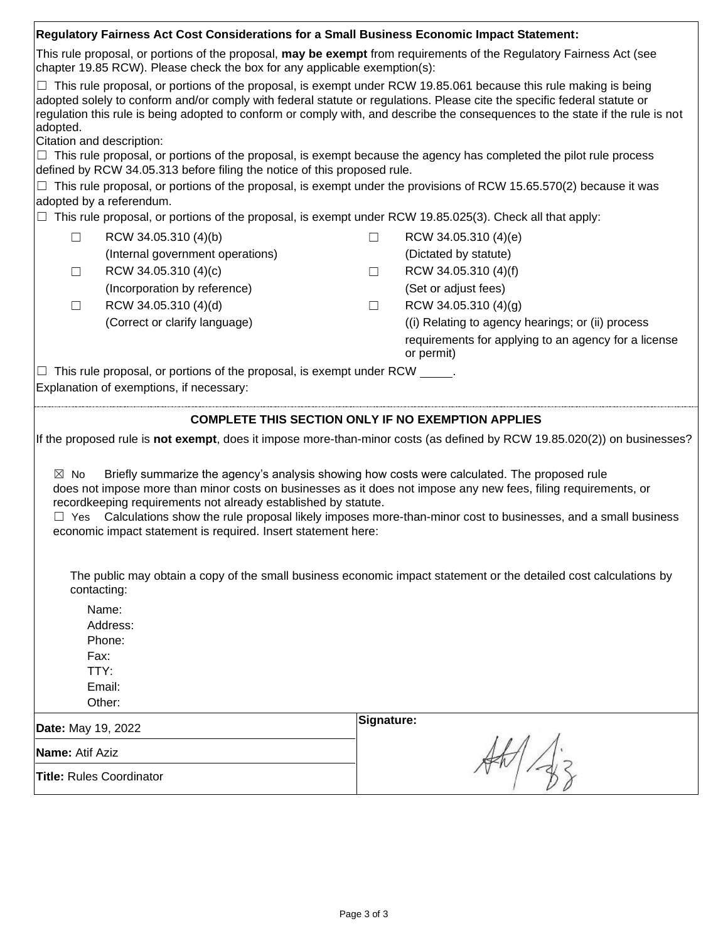|                                                                                                                                                                                                                                                                                                                                                                                                                                                                                                | Regulatory Fairness Act Cost Considerations for a Small Business Economic Impact Statement:                     |            |                                                                                                                                                                                                                                                                                                                                                                                                                                                                                                                    |  |
|------------------------------------------------------------------------------------------------------------------------------------------------------------------------------------------------------------------------------------------------------------------------------------------------------------------------------------------------------------------------------------------------------------------------------------------------------------------------------------------------|-----------------------------------------------------------------------------------------------------------------|------------|--------------------------------------------------------------------------------------------------------------------------------------------------------------------------------------------------------------------------------------------------------------------------------------------------------------------------------------------------------------------------------------------------------------------------------------------------------------------------------------------------------------------|--|
|                                                                                                                                                                                                                                                                                                                                                                                                                                                                                                | chapter 19.85 RCW). Please check the box for any applicable exemption(s):                                       |            | This rule proposal, or portions of the proposal, may be exempt from requirements of the Regulatory Fairness Act (see                                                                                                                                                                                                                                                                                                                                                                                               |  |
| adopted.                                                                                                                                                                                                                                                                                                                                                                                                                                                                                       | Citation and description:                                                                                       |            | $\Box$ This rule proposal, or portions of the proposal, is exempt under RCW 19.85.061 because this rule making is being<br>adopted solely to conform and/or comply with federal statute or regulations. Please cite the specific federal statute or<br>regulation this rule is being adopted to conform or comply with, and describe the consequences to the state if the rule is not<br>$\Box$ This rule proposal, or portions of the proposal, is exempt because the agency has completed the pilot rule process |  |
|                                                                                                                                                                                                                                                                                                                                                                                                                                                                                                | defined by RCW 34.05.313 before filing the notice of this proposed rule.                                        |            |                                                                                                                                                                                                                                                                                                                                                                                                                                                                                                                    |  |
| $\Box$                                                                                                                                                                                                                                                                                                                                                                                                                                                                                         | adopted by a referendum.                                                                                        |            | This rule proposal, or portions of the proposal, is exempt under the provisions of RCW 15.65.570(2) because it was                                                                                                                                                                                                                                                                                                                                                                                                 |  |
|                                                                                                                                                                                                                                                                                                                                                                                                                                                                                                | $\Box$ This rule proposal, or portions of the proposal, is exempt under RCW 19.85.025(3). Check all that apply: |            |                                                                                                                                                                                                                                                                                                                                                                                                                                                                                                                    |  |
| $\Box$                                                                                                                                                                                                                                                                                                                                                                                                                                                                                         | RCW 34.05.310 (4)(b)                                                                                            | $\Box$     | RCW 34.05.310 (4)(e)                                                                                                                                                                                                                                                                                                                                                                                                                                                                                               |  |
|                                                                                                                                                                                                                                                                                                                                                                                                                                                                                                | (Internal government operations)                                                                                |            | (Dictated by statute)                                                                                                                                                                                                                                                                                                                                                                                                                                                                                              |  |
| П                                                                                                                                                                                                                                                                                                                                                                                                                                                                                              | RCW 34.05.310 (4)(c)                                                                                            | П          | RCW 34.05.310 (4)(f)                                                                                                                                                                                                                                                                                                                                                                                                                                                                                               |  |
|                                                                                                                                                                                                                                                                                                                                                                                                                                                                                                | (Incorporation by reference)                                                                                    |            | (Set or adjust fees)                                                                                                                                                                                                                                                                                                                                                                                                                                                                                               |  |
| $\Box$                                                                                                                                                                                                                                                                                                                                                                                                                                                                                         | RCW 34.05.310 (4)(d)                                                                                            | $\Box$     | RCW 34.05.310 (4)(g)                                                                                                                                                                                                                                                                                                                                                                                                                                                                                               |  |
|                                                                                                                                                                                                                                                                                                                                                                                                                                                                                                | (Correct or clarify language)                                                                                   |            | (i) Relating to agency hearings; or (ii) process                                                                                                                                                                                                                                                                                                                                                                                                                                                                   |  |
|                                                                                                                                                                                                                                                                                                                                                                                                                                                                                                |                                                                                                                 |            | requirements for applying to an agency for a license<br>or permit)                                                                                                                                                                                                                                                                                                                                                                                                                                                 |  |
|                                                                                                                                                                                                                                                                                                                                                                                                                                                                                                | $\Box$ This rule proposal, or portions of the proposal, is exempt under RCW $\_\_\_\_\.\$                       |            |                                                                                                                                                                                                                                                                                                                                                                                                                                                                                                                    |  |
|                                                                                                                                                                                                                                                                                                                                                                                                                                                                                                | Explanation of exemptions, if necessary:                                                                        |            |                                                                                                                                                                                                                                                                                                                                                                                                                                                                                                                    |  |
|                                                                                                                                                                                                                                                                                                                                                                                                                                                                                                |                                                                                                                 |            |                                                                                                                                                                                                                                                                                                                                                                                                                                                                                                                    |  |
|                                                                                                                                                                                                                                                                                                                                                                                                                                                                                                |                                                                                                                 |            | <b>COMPLETE THIS SECTION ONLY IF NO EXEMPTION APPLIES</b>                                                                                                                                                                                                                                                                                                                                                                                                                                                          |  |
|                                                                                                                                                                                                                                                                                                                                                                                                                                                                                                |                                                                                                                 |            | If the proposed rule is not exempt, does it impose more-than-minor costs (as defined by RCW 19.85.020(2)) on businesses?                                                                                                                                                                                                                                                                                                                                                                                           |  |
| Briefly summarize the agency's analysis showing how costs were calculated. The proposed rule<br>$\boxtimes$ No<br>does not impose more than minor costs on businesses as it does not impose any new fees, filing requirements, or<br>recordkeeping requirements not already established by statute.<br>$\Box$ Yes Calculations show the rule proposal likely imposes more-than-minor cost to businesses, and a small business<br>economic impact statement is required. Insert statement here: |                                                                                                                 |            |                                                                                                                                                                                                                                                                                                                                                                                                                                                                                                                    |  |
| The public may obtain a copy of the small business economic impact statement or the detailed cost calculations by<br>contacting:                                                                                                                                                                                                                                                                                                                                                               |                                                                                                                 |            |                                                                                                                                                                                                                                                                                                                                                                                                                                                                                                                    |  |
|                                                                                                                                                                                                                                                                                                                                                                                                                                                                                                | Name:<br>Address:<br>Phone:<br>Fax:<br>TTY:<br>Email:<br>Other:                                                 |            |                                                                                                                                                                                                                                                                                                                                                                                                                                                                                                                    |  |
|                                                                                                                                                                                                                                                                                                                                                                                                                                                                                                |                                                                                                                 | Signature: |                                                                                                                                                                                                                                                                                                                                                                                                                                                                                                                    |  |
| Date: May 19, 2022<br><b>Name: Atif Aziz</b>                                                                                                                                                                                                                                                                                                                                                                                                                                                   |                                                                                                                 |            |                                                                                                                                                                                                                                                                                                                                                                                                                                                                                                                    |  |
|                                                                                                                                                                                                                                                                                                                                                                                                                                                                                                | <b>Title: Rules Coordinator</b>                                                                                 |            |                                                                                                                                                                                                                                                                                                                                                                                                                                                                                                                    |  |
|                                                                                                                                                                                                                                                                                                                                                                                                                                                                                                |                                                                                                                 |            |                                                                                                                                                                                                                                                                                                                                                                                                                                                                                                                    |  |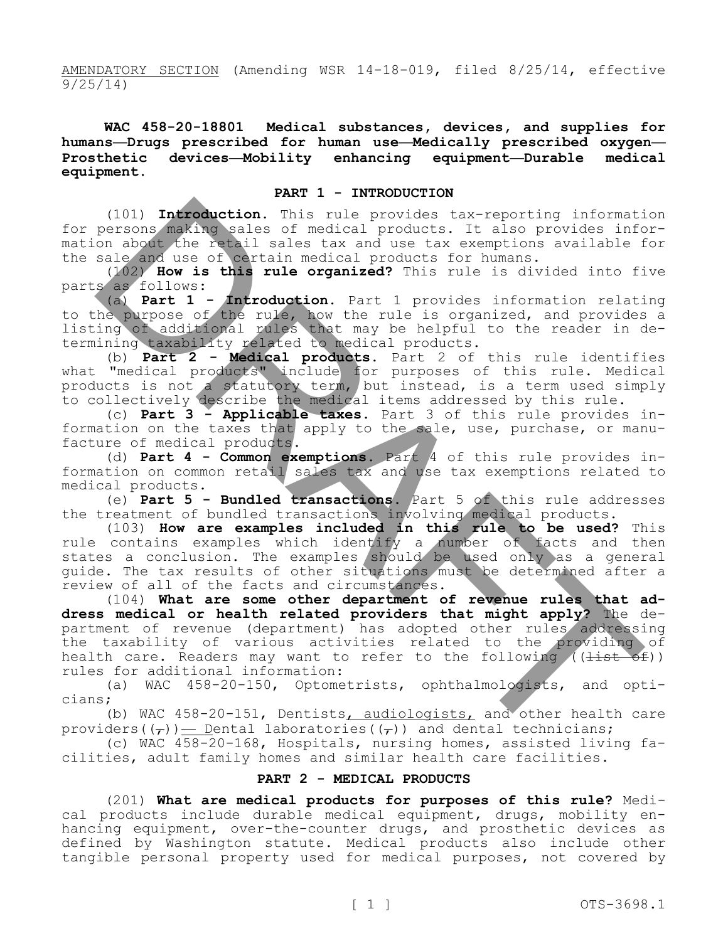AMENDATORY SECTION (Amending WSR 14-18-019, filed 8/25/14, effective 9/25/14)

**WAC 458-20-18801 Medical substances, devices, and supplies for humans—Drugs prescribed for human use—Medically prescribed oxygen— Prosthetic devices—Mobility enhancing equipment—Durable medical equipment.**

#### **PART 1 - INTRODUCTION**

(101) **Introduction.** This rule provides tax-reporting information for persons making sales of medical products. It also provides information about the retail sales tax and use tax exemptions available for the sale and use of certain medical products for humans.

(102) **How is this rule organized?** This rule is divided into five parts as follows:

(a) **Part 1 - Introduction.** Part 1 provides information relating to the purpose of the rule, how the rule is organized, and provides a listing of additional rules that may be helpful to the reader in determining taxability related to medical products.

(b) **Part 2 - Medical products.** Part 2 of this rule identifies what "medical products" include for purposes of this rule. Medical products is not a statutory term, but instead, is a term used simply to collectively describe the medical items addressed by this rule.

(c) **Part 3 - Applicable taxes.** Part 3 of this rule provides information on the taxes that apply to the sale, use, purchase, or manufacture of medical products.

(d) **Part 4 - Common exemptions.** Part 4 of this rule provides information on common retail sales tax and use tax exemptions related to medical products.

(e) **Part 5 - Bundled transactions.** Part 5 of this rule addresses the treatment of bundled transactions involving medical products.

(103) **How are examples included in this rule to be used?** This rule contains examples which identify a number of facts and then states a conclusion. The examples should be used only as a general guide. The tax results of other situations must be determined after a review of all of the facts and circumstances.

(104) **What are some other department of revenue rules that address medical or health related providers that might apply?** The department of revenue (department) has adopted other rules addressing the taxability of various activities related to the providing of health care. Readers may want to refer to the following  $((\frac{list - of}{}) )$ rules for additional information: (101) Introduction. This rule provides tax-reporting information<br>on about the valis of medical provides tax-reporting information<br>and the retail sales tax and use tax exemptions available is<br>allowed the retail sales tax an

(a) WAC 458-20-150, Optometrists, ophthalmologists, and opticians;

(b) WAC 458-20-151, Dentists, audiologists, and other health care providers( $(\tau)$ )  $\equiv$  Dental laboratories( $(\tau)$ ) and dental technicians;

(c) WAC 458-20-168, Hospitals, nursing homes, assisted living facilities, adult family homes and similar health care facilities.

## **PART 2 - MEDICAL PRODUCTS**

(201) **What are medical products for purposes of this rule?** Medical products include durable medical equipment, drugs, mobility enhancing equipment, over-the-counter drugs, and prosthetic devices as defined by Washington statute. Medical products also include other tangible personal property used for medical purposes, not covered by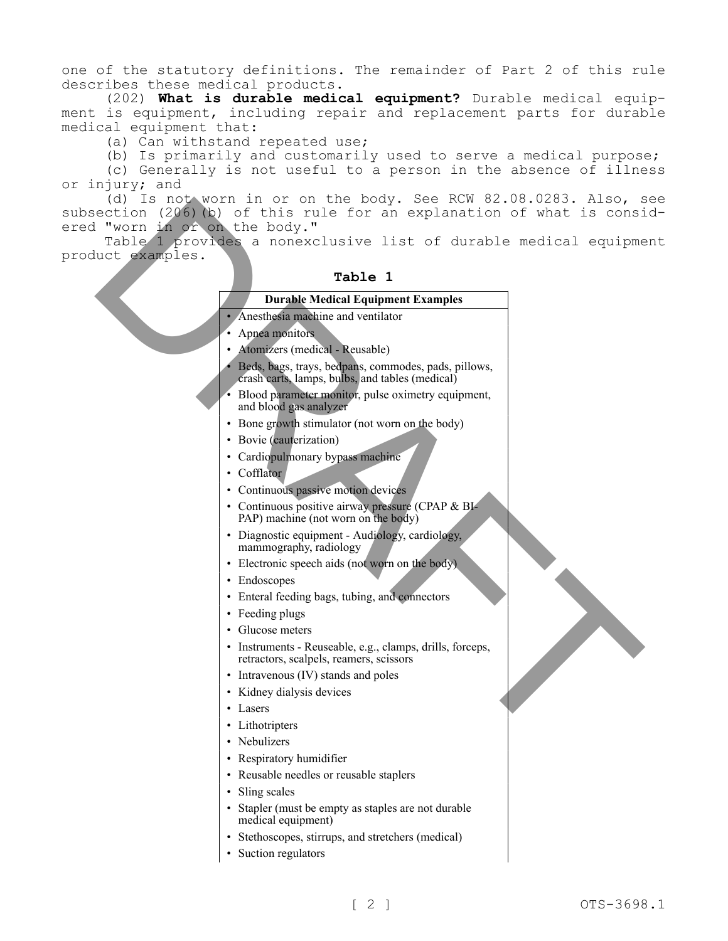one of the statutory definitions. The remainder of Part 2 of this rule describes these medical products.

(202) **What is durable medical equipment?** Durable medical equipment is equipment, including repair and replacement parts for durable medical equipment that:

(a) Can withstand repeated use;

(b) Is primarily and customarily used to serve a medical purpose;

(c) Generally is not useful to a person in the absence of illness or injury; and

(d) Is not worn in or on the body. See RCW 82.08.0283. Also, see subsection (206)(b) of this rule for an explanation of what is considered "worn in or on the body." (16) In a finally contribute the matrix of the following the control (266) by of this rule for an explanation of what is considered in the body."<br>
Table 1 **Drawnless and control in the consideration** of what is considered

Table 1 provides a nonexclusive list of durable medical equipment product examples.

## **Table 1**

## **Durable Medical Equipment Examples**

- Anesthesia machine and ventilator
- Apnea monitors
- Atomizers (medical Reusable)
- Beds, bags, trays, bedpans, commodes, pads, pillows, crash carts, lamps, bulbs, and tables (medical)
- Blood parameter monitor, pulse oximetry equipment, and blood gas analyzer
- Bone growth stimulator (not worn on the body)
- Bovie (cauterization)
- Cardiopulmonary bypass machine
- Cofflator
- Continuous passive motion devices
- Continuous positive airway pressure (CPAP & BI-PAP) machine (not worn on the body)
- Diagnostic equipment Audiology, cardiology, mammography, radiology
- Electronic speech aids (not worn on the body)
- Endoscopes
- Enteral feeding bags, tubing, and connectors
- Feeding plugs
- Glucose meters
- Instruments Reuseable, e.g., clamps, drills, forceps, retractors, scalpels, reamers, scissors
- Intravenous (IV) stands and poles
- Kidney dialysis devices
- Lasers
- Lithotripters
- Nebulizers
- Respiratory humidifier
- Reusable needles or reusable staplers
- Sling scales
- Stapler (must be empty as staples are not durable medical equipment)
- Stethoscopes, stirrups, and stretchers (medical)
- Suction regulators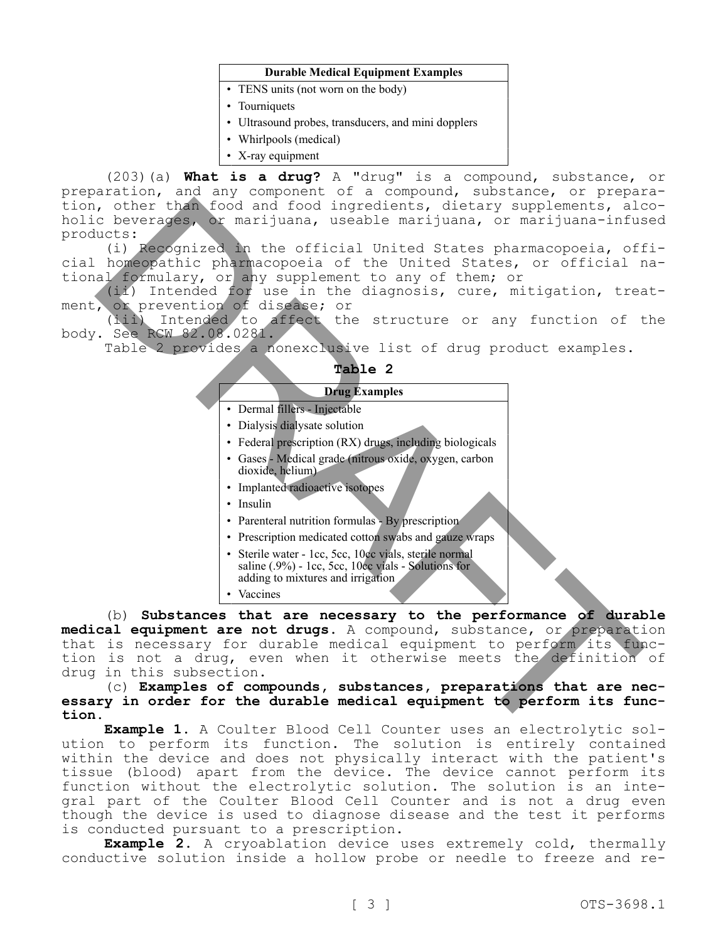#### **Durable Medical Equipment Examples**

- TENS units (not worn on the body)
- Tourniquets
- Ultrasound probes, transducers, and mini dopplers
- Whirlpools (medical)
- X-ray equipment

(203)(a) **What is a drug?** A "drug" is a compound, substance, or preparation, and any component of a compound, substance, or preparation, other than food and food ingredients, dietary supplements, alcoholic beverages, or marijuana, useable marijuana, or marijuana-infused products:

(i) Recognized in the official United States pharmacopoeia, official homeopathic pharmacopoeia of the United States, or official national formulary, or any supplement to any of them; or

(ii) Intended for use in the diagnosis, cure, mitigation, treatment, or prevention of disease; or

(iii) Intended to affect the structure or any function of the body. See RCW 82.08.0281.

**Table 2**

| , other than food and food ingredients, dietary supplements, ald<br>c beverages, or marijuana, useable marijuana, or marijuana-infus  |
|---------------------------------------------------------------------------------------------------------------------------------------|
| ucts:                                                                                                                                 |
| (i) Recognized in the official United States pharmacopoeia, off<br>homeopathic pharmacopoeia of the United States, or official r      |
| al formulary, or any supplement to any of them; or                                                                                    |
| (ii) Intended for use in the diagnosis, cure, mitigation, trea                                                                        |
| , or prevention of disease; or                                                                                                        |
| (iii) Intended to affect the structure or any function of t<br>See RCW 82.08.0281.                                                    |
| Table 2 provides a nonexclusive list of drug product examples.                                                                        |
| Table 2                                                                                                                               |
| <b>Drug Examples</b>                                                                                                                  |
| · Dermal fillers - Injectable                                                                                                         |
| • Dialysis dialysate solution                                                                                                         |
| • Federal prescription (RX) drugs, including biologicals                                                                              |
| · Gases - Medical grade (nitrous oxide, oxygen, carbon                                                                                |
| dioxide, helium)                                                                                                                      |
| • Implanted radioactive isotopes                                                                                                      |
| · Insulin                                                                                                                             |
| • Parenteral nutrition formulas - By prescription                                                                                     |
| • Prescription medicated cotton swabs and gauze wraps                                                                                 |
| · Sterile water - 1cc, 5cc, 10cc vials, sterile normal<br>saline $(.9\%)$ - 1cc, 5cc, 10cc vials - Solutions for                      |
| adding to mixtures and irrigation                                                                                                     |
| • Vaccines                                                                                                                            |
| (b) Substances that are necessary to the performance of durak                                                                         |
| cal equipment are not drugs. A compound, substance, or preparati                                                                      |
| is necessary for durable medical equipment to perform its fur<br>is not a drug, even when it otherwise meets the definition           |
| in this subsection.                                                                                                                   |
| (c) Examples of compounds, substances, preparations that are ne                                                                       |
| ry in order for the durable medical equipment to perform its fur                                                                      |
|                                                                                                                                       |
| <b>Example 1.</b> A Coulter Blood Cell Counter uses an electrolytic so<br>n to perform its function. The solution is entirely contain |
|                                                                                                                                       |

(b) **Substances that are necessary to the performance of durable medical equipment are not drugs.** A compound, substance, or preparation that is necessary for durable medical equipment to perform its function is not a drug, even when it otherwise meets the definition of drug in this subsection.

(c) **Examples of compounds, substances, preparations that are necessary in order for the durable medical equipment to perform its function.**

**Example 1.** A Coulter Blood Cell Counter uses an electrolytic solution to perform its function. The solution is entirely contained within the device and does not physically interact with the patient's tissue (blood) apart from the device. The device cannot perform its function without the electrolytic solution. The solution is an integral part of the Coulter Blood Cell Counter and is not a drug even though the device is used to diagnose disease and the test it performs is conducted pursuant to a prescription.

**Example 2.** A cryoablation device uses extremely cold, thermally conductive solution inside a hollow probe or needle to freeze and re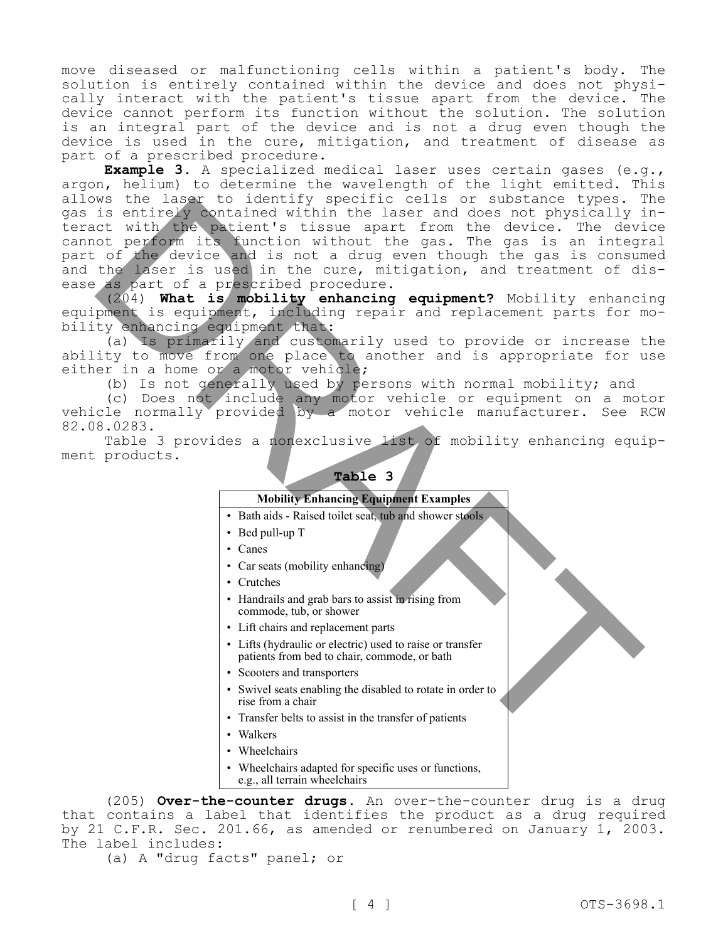move diseased or malfunctioning cells within a patient's body. The solution is entirely contained within the device and does not physically interact with the patient's tissue apart from the device. The device cannot perform its function without the solution. The solution is an integral part of the device and is not a drug even though the device is used in the cure, mitigation, and treatment of disease as part of a prescribed procedure.

**Example 3.** A specialized medical laser uses certain gases (e.g., argon, helium) to determine the wavelength of the light emitted. This allows the laser to identify specific cells or substance types. The gas is entirely contained within the laser and does not physically interact with the patient's tissue apart from the device. The device cannot perform its function without the gas. The gas is an integral part of the device and is not a drug even though the gas is consumed and the laser is used in the cure, mitigation, and treatment of disease as part of a prescribed procedure. is the lasses to identify specific calls or such an<br>entirely contained within the lasser and does not physically it<br>disturbing the base and does not physically is<br>disturbing the carrelation without the qas. The desired an

(204) **What is mobility enhancing equipment?** Mobility enhancing equipment is equipment, including repair and replacement parts for mobility enhancing equipment that:

(a) Is primarily and customarily used to provide or increase the ability to move from one place to another and is appropriate for use either in a home or a motor vehicle;

(b) Is not generally used by persons with normal mobility; and

(c) Does not include any motor vehicle or equipment on a motor vehicle normally provided by a motor vehicle manufacturer. See RCW 82.08.0283.

Table 3 provides a nonexclusive list of mobility enhancing equipment products.

### **Table 3**

#### **Mobility Enhancing Equipment Examples**

- Bath aids Raised toilet seat, tub and shower stools
- Bed pull-up T
- Canes
- Car seats (mobility enhancing)
- Crutches
- Handrails and grab bars to assist in rising from commode, tub, or shower
- Lift chairs and replacement parts
- Lifts (hydraulic or electric) used to raise or transfer patients from bed to chair, commode, or bath
- Scooters and transporters
- Swivel seats enabling the disabled to rotate in order to rise from a chair
- Transfer belts to assist in the transfer of patients
- Walkers
- Wheelchairs
- Wheelchairs adapted for specific uses or functions, e.g., all terrain wheelchairs

(205) **Over-the-counter drugs.** An over-the-counter drug is a drug that contains a label that identifies the product as a drug required by 21 C.F.R. Sec. 201.66, as amended or renumbered on January 1, 2003. The label includes:

(a) A "drug facts" panel; or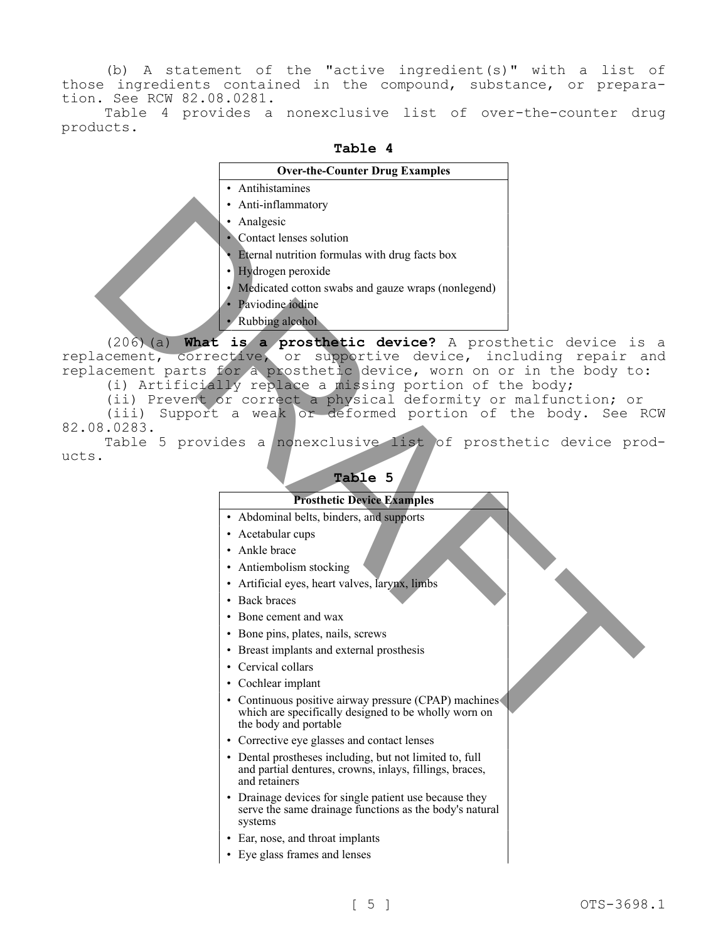(b) A statement of the "active ingredient(s)" with a list of those ingredients contained in the compound, substance, or preparation. See RCW 82.08.0281.

Table 4 provides a nonexclusive list of over-the-counter drug products.

|                              | Table 4                                                                                                                                                                                                                                                                                                                                                                          |  |
|------------------------------|----------------------------------------------------------------------------------------------------------------------------------------------------------------------------------------------------------------------------------------------------------------------------------------------------------------------------------------------------------------------------------|--|
|                              | <b>Over-the-Counter Drug Examples</b>                                                                                                                                                                                                                                                                                                                                            |  |
|                              | • Antihistamines                                                                                                                                                                                                                                                                                                                                                                 |  |
|                              | • Anti-inflammatory                                                                                                                                                                                                                                                                                                                                                              |  |
|                              | • Analgesic                                                                                                                                                                                                                                                                                                                                                                      |  |
|                              | • Contact lenses solution                                                                                                                                                                                                                                                                                                                                                        |  |
|                              | • Eternal nutrition formulas with drug facts box                                                                                                                                                                                                                                                                                                                                 |  |
|                              | · Hydrogen peroxide                                                                                                                                                                                                                                                                                                                                                              |  |
|                              | • Medicated cotton swabs and gauze wraps (nonlegend)                                                                                                                                                                                                                                                                                                                             |  |
|                              | Paviodine iodine                                                                                                                                                                                                                                                                                                                                                                 |  |
|                              | Rubbing alcohol                                                                                                                                                                                                                                                                                                                                                                  |  |
| $(206)$ (a)                  | What is a prosthetic device? A prosthetic device is                                                                                                                                                                                                                                                                                                                              |  |
| acement,<br>(iii)<br>8.0283. | corrective, or supportive device, including repair a<br>acement parts for a prosthetic device, worn on or in the body to<br>(i) Artificially replace a missing portion of the body;<br>(ii) Prevent or correct a physical deformity or malfunction; or<br>Support a weak or deformed portion of the body. See F<br>Table 5 provides a nonexclusive list of prosthetic device pro |  |
|                              | Table 5<br><b>Prosthetic Device Examples</b>                                                                                                                                                                                                                                                                                                                                     |  |
|                              | • Abdominal belts, binders, and supports                                                                                                                                                                                                                                                                                                                                         |  |
|                              | • Acetabular cups                                                                                                                                                                                                                                                                                                                                                                |  |
|                              | • Ankle brace                                                                                                                                                                                                                                                                                                                                                                    |  |
|                              | • Antiembolism stocking                                                                                                                                                                                                                                                                                                                                                          |  |
|                              | • Artificial eyes, heart valves, larynx, limbs                                                                                                                                                                                                                                                                                                                                   |  |
|                              | • Back braces                                                                                                                                                                                                                                                                                                                                                                    |  |
|                              | • Bone cement and wax                                                                                                                                                                                                                                                                                                                                                            |  |
|                              | • Bone pins, plates, nails, screws                                                                                                                                                                                                                                                                                                                                               |  |
|                              | • Breast implants and external prosthesis                                                                                                                                                                                                                                                                                                                                        |  |
|                              | • Cervical collars                                                                                                                                                                                                                                                                                                                                                               |  |
|                              | • Cochlear implant                                                                                                                                                                                                                                                                                                                                                               |  |
|                              | • Continuous positive airway pressure (CPAP) machines<br>which are specifically designed to be wholly worn on<br>the body and portable                                                                                                                                                                                                                                           |  |
|                              | • Corrective eye glasses and contact lenses                                                                                                                                                                                                                                                                                                                                      |  |

(206)(a) **What is a prosthetic device?** A prosthetic device is a replacement, corrective, or supportive device, including repair and replacement parts for a prosthetic device, worn on or in the body to: (i) Artificially replace a missing portion of the body;

(iii) Support a weak or deformed portion of the body. See RCW 82.08.0283.

Table 5 provides a nonexclusive list of prosthetic device products.

# **Table 5**

## **Prosthetic Device Examples**

- Abdominal belts, binders, and supports
- Acetabular cups
- Ankle brace
- Antiembolism stocking
- Artificial eyes, heart valves, larynx, limbs
- Back braces
- Bone cement and wax
- Bone pins, plates, nails, screws
- Breast implants and external prosthesis
- Cervical collars
- Cochlear implant
- Continuous positive airway pressure (CPAP) machines which are specifically designed to be wholly worn on the body and portable
- Corrective eye glasses and contact lenses
- Dental prostheses including, but not limited to, full and partial dentures, crowns, inlays, fillings, braces, and retainers
- Drainage devices for single patient use because they serve the same drainage functions as the body's natural systems
- Ear, nose, and throat implants
- Eye glass frames and lenses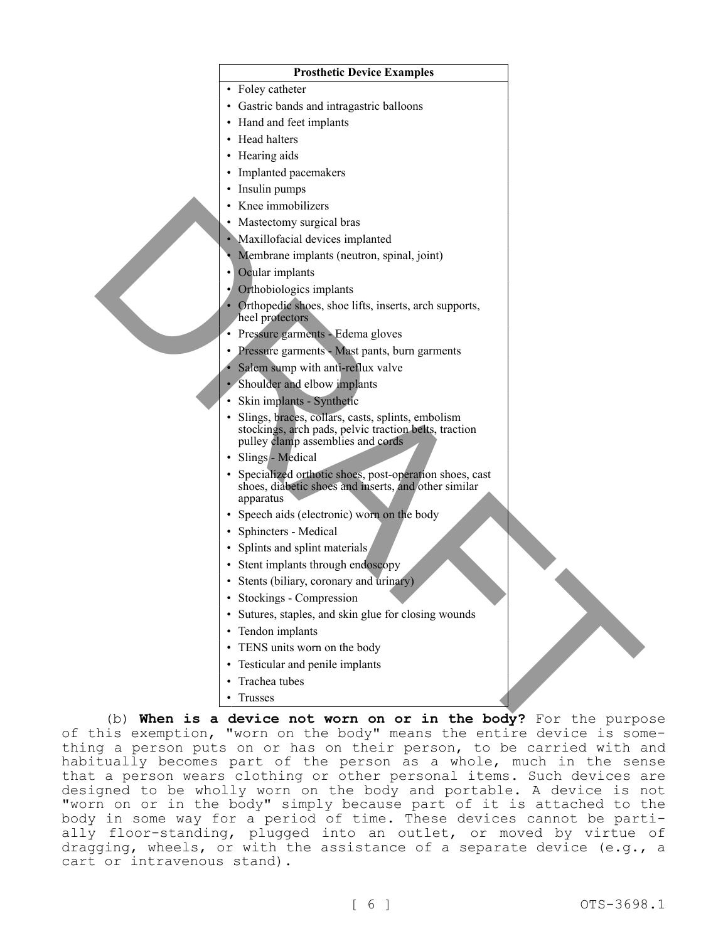

• Trusses

(b) **When is a device not worn on or in the body?** For the purpose of this exemption, "worn on the body" means the entire device is something a person puts on or has on their person, to be carried with and habitually becomes part of the person as a whole, much in the sense that a person wears clothing or other personal items. Such devices are designed to be wholly worn on the body and portable. A device is not "worn on or in the body" simply because part of it is attached to the body in some way for a period of time. These devices cannot be partially floor-standing, plugged into an outlet, or moved by virtue of dragging, wheels, or with the assistance of a separate device (e.g., a cart or intravenous stand).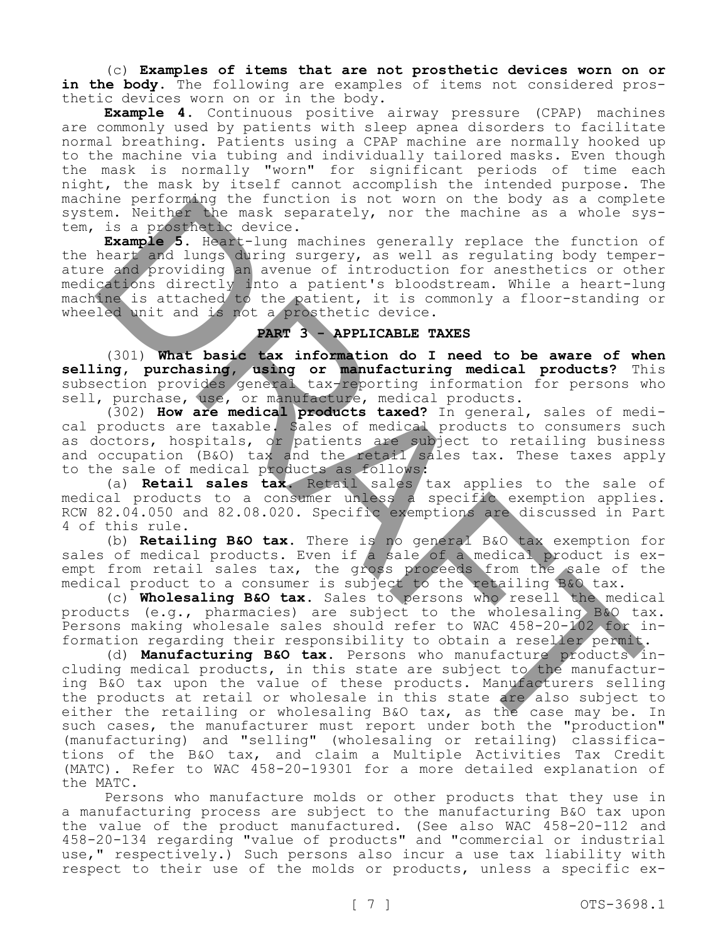(c) **Examples of items that are not prosthetic devices worn on or**  in the body. The following are examples of items not considered prosthetic devices worn on or in the body.

**Example 4.** Continuous positive airway pressure (CPAP) machines are commonly used by patients with sleep apnea disorders to facilitate normal breathing. Patients using a CPAP machine are normally hooked up to the machine via tubing and individually tailored masks. Even though the mask is normally "worn" for significant periods of time each night, the mask by itself cannot accomplish the intended purpose. The machine performing the function is not worn on the body as a complete system. Neither the mask separately, nor the machine as a whole system, is a prosthetic device.

**Example 5.** Heart-lung machines generally replace the function of the heart and lungs during surgery, as well as regulating body temperature and providing an avenue of introduction for anesthetics or other medications directly into a patient's bloodstream. While a heart-lung machine is attached to the patient, it is commonly a floor-standing or wheeled unit and is not a prosthetic device.

# **PART 3 - APPLICABLE TAXES**

(301) **What basic tax information do I need to be aware of when selling, purchasing, using or manufacturing medical products?** This subsection provides general tax-reporting information for persons who sell, purchase, use, or manufacture, medical products.

(302) **How are medical products taxed?** In general, sales of medical products are taxable. Sales of medical products to consumers such as doctors, hospitals, or patients are subject to retailing business and occupation (B&O) tax and the retail sales tax. These taxes apply to the sale of medical products as follows:

(a) **Retail sales tax.** Retail sales tax applies to the sale of medical products to a consumer unless a specific exemption applies. RCW 82.04.050 and 82.08.020. Specific exemptions are discussed in Part 4 of this rule.

(b) **Retailing B&O tax.** There is no general B&O tax exemption for sales of medical products. Even if a sale of a medical product is exempt from retail sales tax, the gross proceeds from the sale of the medical product to a consumer is subject to the retailing B&O tax.

(c) **Wholesaling B&O tax.** Sales to persons who resell the medical products (e.g., pharmacies) are subject to the wholesaling B&O tax. Persons making wholesale sales should refer to WAC 458-20-102 for information regarding their responsibility to obtain a reseller permit.

(d) **Manufacturing B&O tax.** Persons who manufacture products including medical products, in this state are subject to the manufacturing B&O tax upon the value of these products. Manufacturers selling the products at retail or wholesale in this state are also subject to either the retailing or wholesaling B&O tax, as the case may be. In such cases, the manufacturer must report under both the "production" (manufacturing) and "selling" (wholesaling or retailing) classifications of the B&O tax, and claim a Multiple Activities Tax Credit (MATC). Refer to WAC 458-20-19301 for a more detailed explanation of the MATC. ne periodinal per lucidion is not worm on the booy as complete.<br>
Is a presente the under the mask separately, nor the machine as a whole sy<br> **Example 5. Heart-lung** machines generally replace the function<br> **Example 5. Hear** 

Persons who manufacture molds or other products that they use in a manufacturing process are subject to the manufacturing B&O tax upon the value of the product manufactured. (See also WAC 458-20-112 and 458-20-134 regarding "value of products" and "commercial or industrial use," respectively.) Such persons also incur a use tax liability with respect to their use of the molds or products, unless a specific ex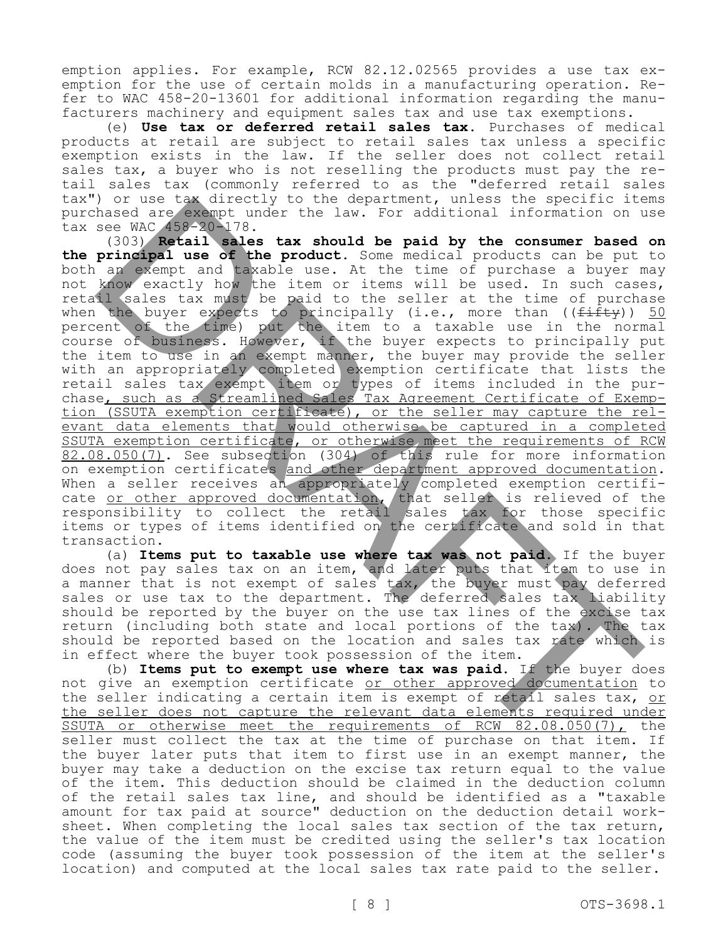emption applies. For example, RCW 82.12.02565 provides a use tax exemption for the use of certain molds in a manufacturing operation. Refer to WAC 458-20-13601 for additional information regarding the manufacturers machinery and equipment sales tax and use tax exemptions.

(e) **Use tax or deferred retail sales tax.** Purchases of medical products at retail are subject to retail sales tax unless a specific exemption exists in the law. If the seller does not collect retail sales tax, a buyer who is not reselling the products must pay the retail sales tax (commonly referred to as the "deferred retail sales tax") or use tax directly to the department, unless the specific items purchased are exempt under the law. For additional information on use tax see WAC 458-20-178.

(303) **Retail sales tax should be paid by the consumer based on the principal use of the product.** Some medical products can be put to both an exempt and taxable use. At the time of purchase a buyer may not know exactly how the item or items will be used. In such cases, retail sales tax must be paid to the seller at the time of purchase when the buyer expects to principally (i.e., more than ((<del>fifty</del>)) 50 percent of the time) put the item to a taxable use in the normal course of business. However, if the buyer expects to principally put the item to use in an exempt manner, the buyer may provide the seller with an appropriately completed exemption certificate that lists the retail sales tax exempt item or types of items included in the purchase, such as a Streamlined Sales Tax Agreement Certificate of Exemption (SSUTA exemption certificate), or the seller may capture the relevant data elements that would otherwise be captured in a completed SSUTA exemption certificate, or otherwise meet the requirements of RCW 82.08.050(7). See subsection (304) of this rule for more information on exemption certificates and other department approved documentation. When a seller receives an appropriately completed exemption certificate <u>or other approved documentation</u>, that seller is relieved of the responsibility to collect the retail sales tax for those specific items or types of items identified on the certificate and sold in that transaction. ) or use the directly to be a contrained that specific the search of the properties are example under the law. For additional information on the size and  $\frac{1}{2}$  and  $\frac{1}{2}$  and  $\frac{1}{2}$  and  $\frac{1}{2}$  and  $\frac{1}{2}$  a

(a) **Items put to taxable use where tax was not paid.** If the buyer does not pay sales tax on an item, and later puts that item to use in a manner that is not exempt of sales tax, the buyer must pay deferred sales or use tax to the department. The deferred sales tax liability should be reported by the buyer on the use tax lines of the excise tax return (including both state and local portions of the tax). The tax should be reported based on the location and sales tax rate which is in effect where the buyer took possession of the item.

(b) **Items put to exempt use where tax was paid.** If the buyer does not give an exemption certificate or other approved documentation to the seller indicating a certain item is exempt of retail sales tax, or the seller does not capture the relevant data elements required under SSUTA or otherwise meet the requirements of RCW 82.08.050(7), the seller must collect the tax at the time of purchase on that item. If the buyer later puts that item to first use in an exempt manner, the buyer may take a deduction on the excise tax return equal to the value of the item. This deduction should be claimed in the deduction column of the retail sales tax line, and should be identified as a "taxable amount for tax paid at source" deduction on the deduction detail worksheet. When completing the local sales tax section of the tax return, the value of the item must be credited using the seller's tax location code (assuming the buyer took possession of the item at the seller's location) and computed at the local sales tax rate paid to the seller.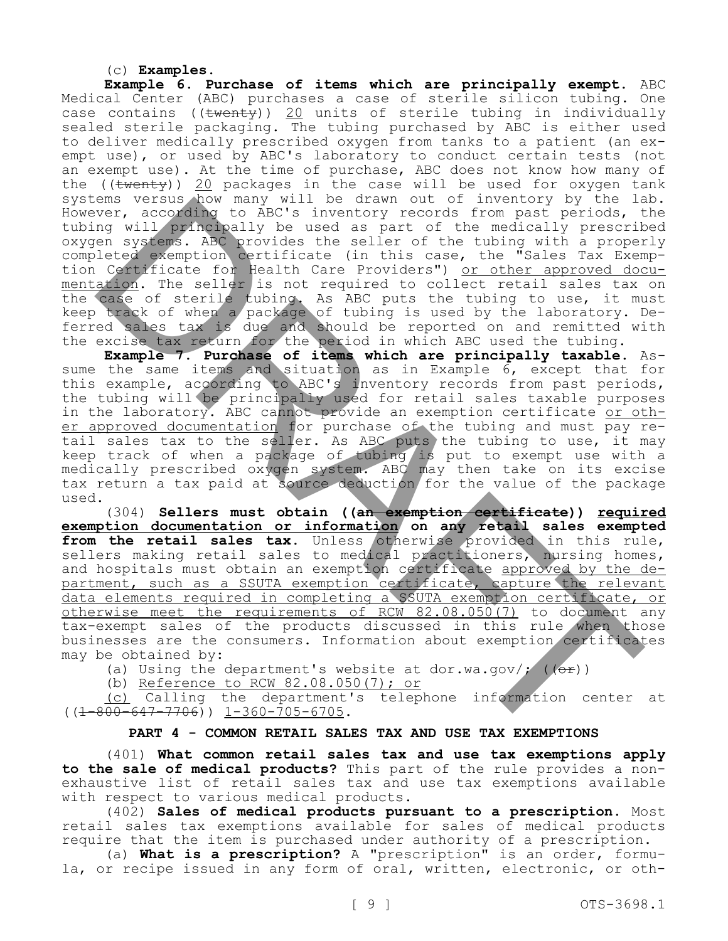## (c) **Examples.**

**Example 6. Purchase of items which are principally exempt.** ABC Medical Center (ABC) purchases a case of sterile silicon tubing. One case contains ((twenty)) 20 units of sterile tubing in individually sealed sterile packaging. The tubing purchased by ABC is either used to deliver medically prescribed oxygen from tanks to a patient (an exempt use), or used by ABC's laboratory to conduct certain tests (not an exempt use). At the time of purchase, ABC does not know how many of the (( $t$ wenty)) 20 packages in the case will be used for oxygen tank systems versus how many will be drawn out of inventory by the lab. However, according to ABC's inventory records from past periods, the tubing will principally be used as part of the medically prescribed oxygen systems. ABC provides the seller of the tubing with a properly completed exemption certificate (in this case, the "Sales Tax Exemption Certificate for Health Care Providers") or other approved documentation. The seller is not required to collect retail sales tax on the case of sterile tubing. As ABC puts the tubing to use, it must keep track of when a package of tubing is used by the laboratory. Deferred sales tax is due and should be reported on and remitted with the excise tax return for the period in which ABC used the tubing.

**Example 7. Purchase of items which are principally taxable.** Assume the same items and situation as in Example 6, except that for this example, according to ABC's inventory records from past periods, the tubing will be principally used for retail sales taxable purposes in the laboratory. ABC cannot provide an exemption certificate or other approved documentation for purchase of the tubing and must pay retail sales tax to the seller. As ABC puts the tubing to use, it may keep track of when a package of tubing is put to exempt use with a medically prescribed oxygen system. ABC may then take on its excise tax return a tax paid at source deduction for the value of the package used. ens version may will be areas of iteration of investory to iteration and the medicinally preserved in the medicinal properties of the medicinal properties of the medicinal properties of the medicinal properties (in this ca

(304) **Sellers must obtain ((an exemption certificate)) required exemption documentation or information on any retail sales exempted**  from the retail sales tax. Unless otherwise provided in this rule, sellers making retail sales to medical practitioners, nursing homes, and hospitals must obtain an exemption certificate approved by the department, such as a SSUTA exemption certificate, capture the relevant data elements required in completing a SSUTA exemption certificate, or otherwise meet the requirements of RCW 82.08.050(7) to document any tax-exempt sales of the products discussed in this rule when those businesses are the consumers. Information about exemption certificates may be obtained by:

(a) Using the department's website at dor.wa.gov/;  $((e^x))$ 

(b) Reference to RCW 82.08.050(7); or

(c) Calling the department's telephone information center at  $((1-800-647-7706))$  1-360-705-6705.

# **PART 4 - COMMON RETAIL SALES TAX AND USE TAX EXEMPTIONS**

(401) **What common retail sales tax and use tax exemptions apply to the sale of medical products?** This part of the rule provides a nonexhaustive list of retail sales tax and use tax exemptions available with respect to various medical products.

(402) **Sales of medical products pursuant to a prescription.** Most retail sales tax exemptions available for sales of medical products require that the item is purchased under authority of a prescription.

(a) **What is a prescription?** A "prescription" is an order, formula, or recipe issued in any form of oral, written, electronic, or oth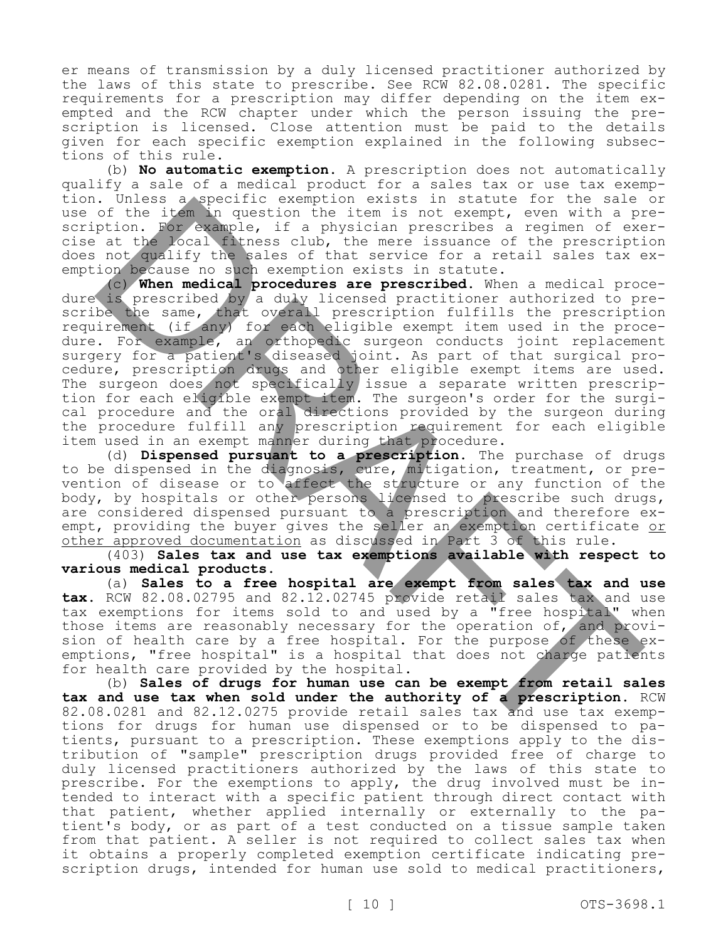er means of transmission by a duly licensed practitioner authorized by the laws of this state to prescribe. See RCW 82.08.0281. The specific requirements for a prescription may differ depending on the item exempted and the RCW chapter under which the person issuing the prescription is licensed. Close attention must be paid to the details given for each specific exemption explained in the following subsections of this rule.

(b) **No automatic exemption.** A prescription does not automatically qualify a sale of a medical product for a sales tax or use tax exemption. Unless a specific exemption exists in statute for the sale or use of the item in question the item is not exempt, even with a prescription. For example, if a physician prescribes a regimen of exercise at the local fitness club, the mere issuance of the prescription does not qualify the sales of that service for a retail sales tax exemption because no such exemption exists in statute.

(c) **When medical procedures are prescribed.** When a medical procedure is prescribed by a duly licensed practitioner authorized to prescribe the same, that overall prescription fulfills the prescription requirement (if any) for each eligible exempt item used in the procedure. For example, an orthopedic surgeon conducts joint replacement surgery for a patient's diseased joint. As part of that surgical procedure, prescription drugs and other eligible exempt items are used. The surgeon does not specifically issue a separate written prescription for each eligible exempt item. The surgeon's order for the surgical procedure and the oral directions provided by the surgeon during the procedure fulfill any prescription requirement for each eligible item used in an exempt manner during that procedure. . Unless a vegetine exemption exists in statute for the side<br>of the identical of the side of the proposition of the statute of the statute of the statute of the statute of the statute of the statute of the statute of the

(d) **Dispensed pursuant to a prescription.** The purchase of drugs to be dispensed in the diagnosis, cure, mitigation, treatment, or prevention of disease or to affect the structure or any function of the body, by hospitals or other persons licensed to prescribe such drugs, are considered dispensed pursuant to a prescription and therefore exempt, providing the buyer gives the seller an exemption certificate or other approved documentation as discussed in Part 3 of this rule.

(403) **Sales tax and use tax exemptions available with respect to various medical products.**

(a) **Sales to a free hospital are exempt from sales tax and use tax.** RCW 82.08.02795 and 82.12.02745 provide retail sales tax and use tax exemptions for items sold to and used by a "free hospital" when those items are reasonably necessary for the operation of, and provision of health care by a free hospital. For the purpose of these exemptions, "free hospital" is a hospital that does not charge patients for health care provided by the hospital.

(b) **Sales of drugs for human use can be exempt from retail sales tax and use tax when sold under the authority of a prescription.** RCW 82.08.0281 and 82.12.0275 provide retail sales tax and use tax exemptions for drugs for human use dispensed or to be dispensed to patients, pursuant to a prescription. These exemptions apply to the distribution of "sample" prescription drugs provided free of charge to duly licensed practitioners authorized by the laws of this state to prescribe. For the exemptions to apply, the drug involved must be intended to interact with a specific patient through direct contact with that patient, whether applied internally or externally to the patient's body, or as part of a test conducted on a tissue sample taken from that patient. A seller is not required to collect sales tax when it obtains a properly completed exemption certificate indicating prescription drugs, intended for human use sold to medical practitioners,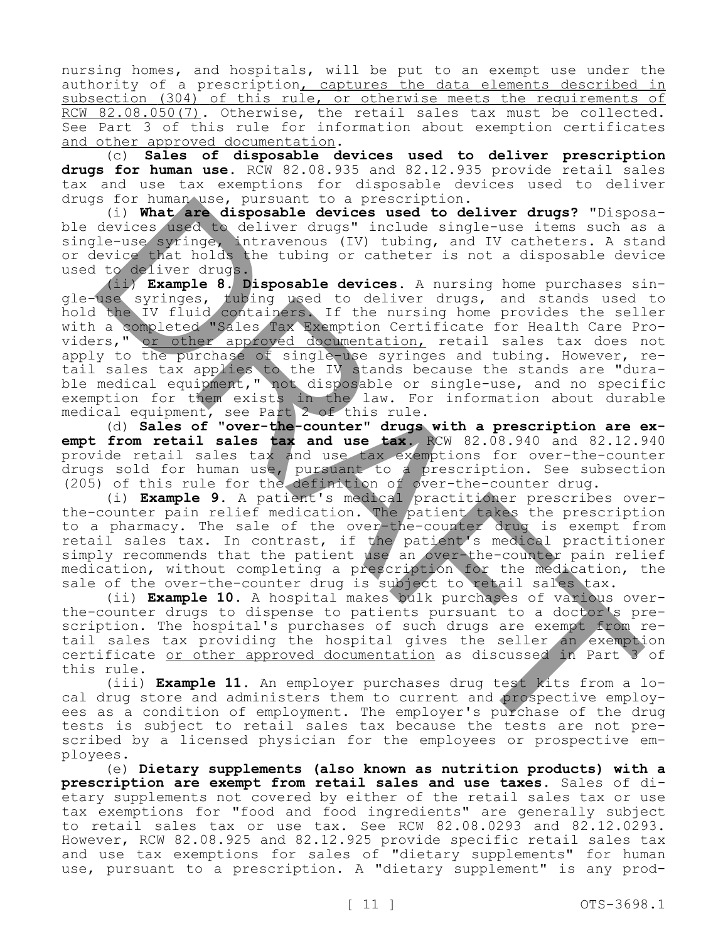nursing homes, and hospitals, will be put to an exempt use under the authority of a prescription, captures the data elements described in subsection (304) of this rule, or otherwise meets the requirements of RCW 82.08.050(7). Otherwise, the retail sales tax must be collected. See Part 3 of this rule for information about exemption certificates and other approved documentation.

(c) **Sales of disposable devices used to deliver prescription drugs for human use.** RCW 82.08.935 and 82.12.935 provide retail sales tax and use tax exemptions for disposable devices used to deliver drugs for human use, pursuant to a prescription.

(i) **What are disposable devices used to deliver drugs?** "Disposable devices used to deliver drugs" include single-use items such as a single-use syringe, intravenous (IV) tubing, and IV catheters. A stand or device that holds the tubing or catheter is not a disposable device used to deliver drugs.

(ii) **Example 8. Disposable devices.** A nursing home purchases single-use syringes, tubing used to deliver drugs, and stands used to hold the IV fluid containers. If the nursing home provides the seller with a completed "Sales Tax Exemption Certificate for Health Care Providers," or other approved documentation, retail sales tax does not apply to the purchase of single-use syringes and tubing. However, retail sales tax applies to the IV stands because the stands are "durable medical equipment," not disposable or single-use, and no specific exemption for them exists in the law. For information about durable medical equipment, see Part 2 of this rule. S for hundar-log tensorial to a prescription.<br>
(i) What are disposable devices used to deliver drugs? "Dispose<br>devices seed to deliver drugs? "Dispose<br>devices seed to deliver drugs? "Dispose<br>devices seed to deliver drugs?"

(d) **Sales of "over-the-counter" drugs with a prescription are exempt from retail sales tax and use tax.** RCW 82.08.940 and 82.12.940 provide retail sales tax and use tax exemptions for over-the-counter drugs sold for human use, pursuant to a prescription. See subsection (205) of this rule for the definition of over-the-counter drug.

(i) **Example 9.** A patient's medical practitioner prescribes overthe-counter pain relief medication. The patient takes the prescription to a pharmacy. The sale of the over-the-counter drug is exempt from retail sales tax. In contrast, if the patient's medical practitioner simply recommends that the patient use an over-the-counter pain relief medication, without completing a prescription for the medication, the sale of the over-the-counter drug is subject to retail sales tax.

(ii) **Example 10.** A hospital makes bulk purchases of various overthe-counter drugs to dispense to patients pursuant to a doctor's prescription. The hospital's purchases of such drugs are exempt from retail sales tax providing the hospital gives the seller an exemption certificate or other approved documentation as discussed in Part 3 of this rule.

(iii) **Example 11.** An employer purchases drug test kits from a local drug store and administers them to current and prospective employees as a condition of employment. The employer's purchase of the drug tests is subject to retail sales tax because the tests are not prescribed by a licensed physician for the employees or prospective employees.

(e) **Dietary supplements (also known as nutrition products) with a prescription are exempt from retail sales and use taxes.** Sales of dietary supplements not covered by either of the retail sales tax or use tax exemptions for "food and food ingredients" are generally subject to retail sales tax or use tax. See RCW 82.08.0293 and 82.12.0293. However, RCW 82.08.925 and 82.12.925 provide specific retail sales tax and use tax exemptions for sales of "dietary supplements" for human use, pursuant to a prescription. A "dietary supplement" is any prod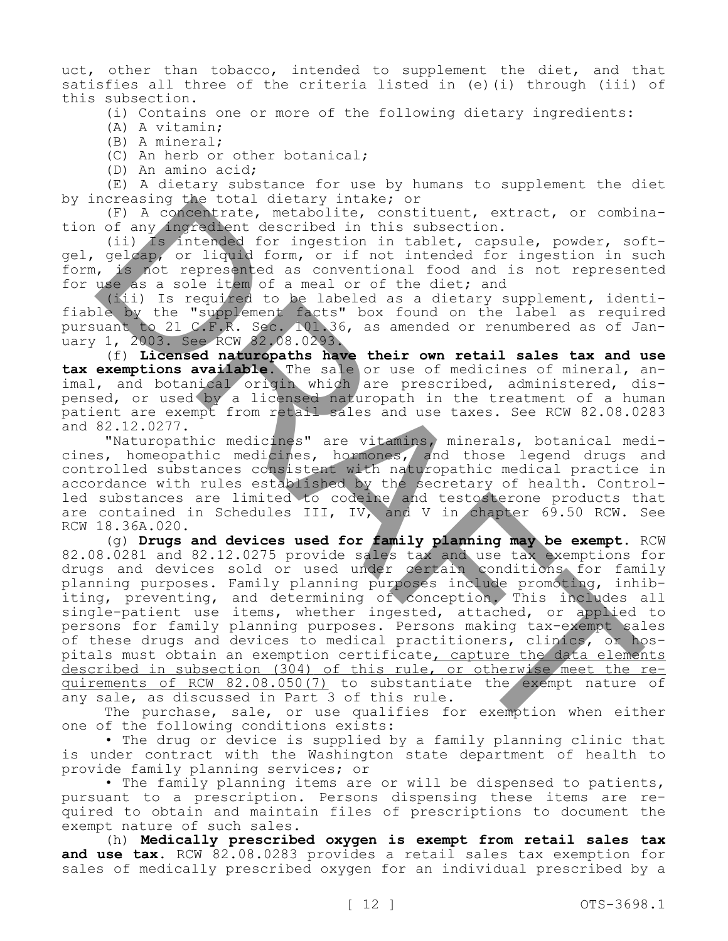uct, other than tobacco, intended to supplement the diet, and that satisfies all three of the criteria listed in (e)(i) through (iii) of this subsection.

(i) Contains one or more of the following dietary ingredients:

(A) A vitamin;

(B) A mineral;

(C) An herb or other botanical;

(D) An amino acid;

(E) A dietary substance for use by humans to supplement the diet by increasing the total dietary intake; or

(F) A concentrate, metabolite, constituent, extract, or combination of any ingredient described in this subsection.

(ii) Is intended for ingestion in tablet, capsule, powder, softgel, gelcap, or liquid form, or if not intended for ingestion in such form, is not represented as conventional food and is not represented for use as a sole item of a meal or of the diet; and

(iii) Is required to be labeled as a dietary supplement, identifiable by the "supplement facts" box found on the label as required pursuant to 21 C.F.R. Sec. 101.36, as amended or renumbered as of January 1, 2003. See RCW 82.08.0293.

(f) **Licensed naturopaths have their own retail sales tax and use**  tax exemptions available. The sale or use of medicines of mineral, animal, and botanical origin which are prescribed, administered, dispensed, or used by a licensed naturopath in the treatment of a human patient are exempt from retail sales and use taxes. See RCW 82.08.0283 and 82.12.0277.

"Naturopathic medicines" are vitamins, minerals, botanical medicines, homeopathic medicines, hormones, and those legend drugs and controlled substances consistent with naturopathic medical practice in accordance with rules established by the secretary of health. Controlled substances are limited to codeine and testosterone products that are contained in Schedules III, IV, and V in chapter 69.50 RCW. See RCW 18.36A.020.

(g) **Drugs and devices used for family planning may be exempt.** RCW 82.08.0281 and 82.12.0275 provide sales tax and use tax exemptions for drugs and devices sold or used under certain conditions for family planning purposes. Family planning purposes include promoting, inhibiting, preventing, and determining of conception. This includes all single-patient use items, whether ingested, attached, or applied to persons for family planning purposes. Persons making tax-exempt sales of these drugs and devices to medical practitioners, clinics, or hospitals must obtain an exemption certificate, capture the data elements described in subsection (304) of this rule, or otherwise meet the requirements of RCW 82.08.050(7) to substantiate the exempt nature of any sale, as discussed in Part 3 of this rule. normaling the total distary includes of<br>a constructe, metabolite, construent, extract, or combined (ii) of any impacted for ingestion in tablet, capsule, powder, soid<br>(ii) as intended for ingestion in tablet, capsule, powd

The purchase, sale, or use qualifies for exemption when either one of the following conditions exists:

• The drug or device is supplied by a family planning clinic that is under contract with the Washington state department of health to provide family planning services; or

• The family planning items are or will be dispensed to patients, pursuant to a prescription. Persons dispensing these items are required to obtain and maintain files of prescriptions to document the exempt nature of such sales.

(h) **Medically prescribed oxygen is exempt from retail sales tax and use tax.** RCW 82.08.0283 provides a retail sales tax exemption for sales of medically prescribed oxygen for an individual prescribed by a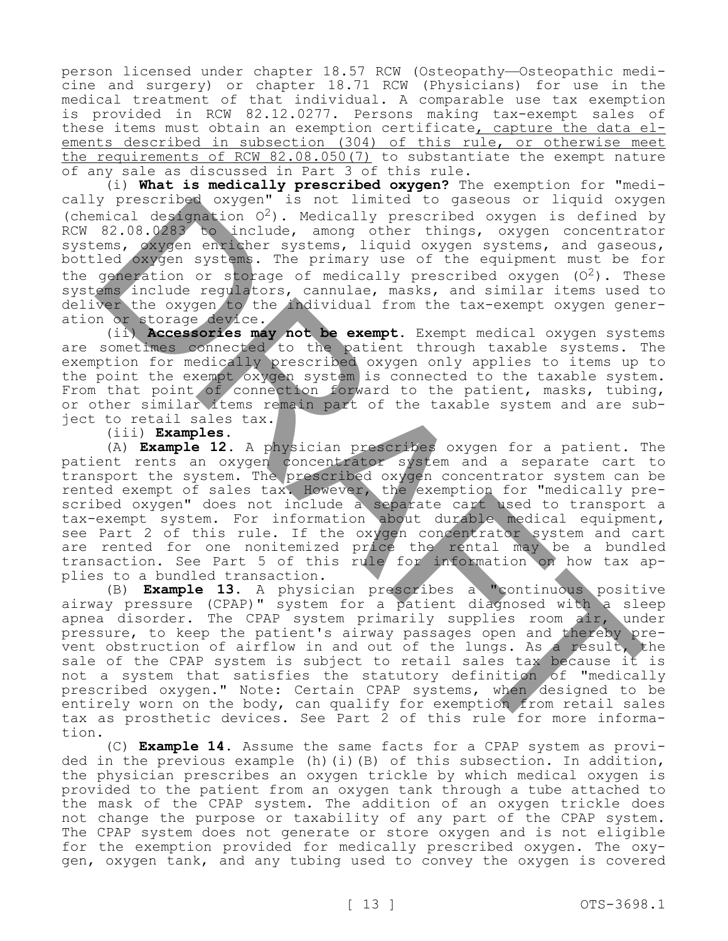person licensed under chapter 18.57 RCW (Osteopathy—Osteopathic medicine and surgery) or chapter 18.71 RCW (Physicians) for use in the medical treatment of that individual. A comparable use tax exemption is provided in RCW 82.12.0277. Persons making tax-exempt sales of these items must obtain an exemption certificate, capture the data elements described in subsection (304) of this rule, or otherwise meet the requirements of RCW 82.08.050(7) to substantiate the exempt nature of any sale as discussed in Part 3 of this rule.

(i) **What is medically prescribed oxygen?** The exemption for "medically prescribed oxygen" is not limited to gaseous or liquid oxygen (chemical designation  $O^2$ ). Medically prescribed oxygen is defined by RCW 82.08.0283 to include, among other things, oxygen concentrator systems, oxygen enricher systems, liquid oxygen systems, and gaseous, bottled oxygen systems. The primary use of the equipment must be for the generation or storage of medically prescribed oxygen  $(0^2)$ . These systems include regulators, cannulae, masks, and similar items used to deliver the oxygen/to/the individual from the tax-exempt oxygen generation or storage device.

(ii) **Accessories may not be exempt.** Exempt medical oxygen systems are sometimes connected to the patient through taxable systems. The exemption for medically prescribed oxygen only applies to items up to the point the exempt oxygen system is connected to the taxable system. From that point of connection forward to the patient, masks, tubing, or other similar items remain part of the taxable system and are subject to retail sales tax.

(iii) **Examples.**

(A) **Example 12.** A physician prescribes oxygen for a patient. The patient rents an oxygen concentrator system and a separate cart to transport the system. The prescribed oxygen concentrator system can be rented exempt of sales tax. However, the exemption for "medically prescribed oxygen" does not include a separate cart used to transport a tax-exempt system. For information about durable medical equipment, see Part 2 of this rule. If the oxygen concentrator system and cart are rented for one nonitemized price the rental may be a bundled transaction. See Part 5 of this rule for information on how tax applies to a bundled transaction.

(B) **Example 13.** A physician prescribes a "continuous positive airway pressure (CPAP)" system for a patient diagnosed with a sleep apnea disorder. The CPAP system primarily supplies room air, under pressure, to keep the patient's airway passages open and thereby prevent obstruction of airflow in and out of the lungs. As a result, the sale of the CPAP system is subject to retail sales tax because it is not a system that satisfies the statutory definition of "medically prescribed oxygen." Note: Certain CPAP systems, when designed to be entirely worn on the body, can qualify for exemption from retail sales tax as prosthetic devices. See Part 2 of this rule for more information. y presenting a solution of indication of indication of indication of indication of indication of indication and other things, exygen concentration of the entire was a second case of the entire was a second of the entire wa

(C) **Example 14.** Assume the same facts for a CPAP system as provided in the previous example (h)(i)(B) of this subsection. In addition, the physician prescribes an oxygen trickle by which medical oxygen is provided to the patient from an oxygen tank through a tube attached to the mask of the CPAP system. The addition of an oxygen trickle does not change the purpose or taxability of any part of the CPAP system. The CPAP system does not generate or store oxygen and is not eligible for the exemption provided for medically prescribed oxygen. The oxygen, oxygen tank, and any tubing used to convey the oxygen is covered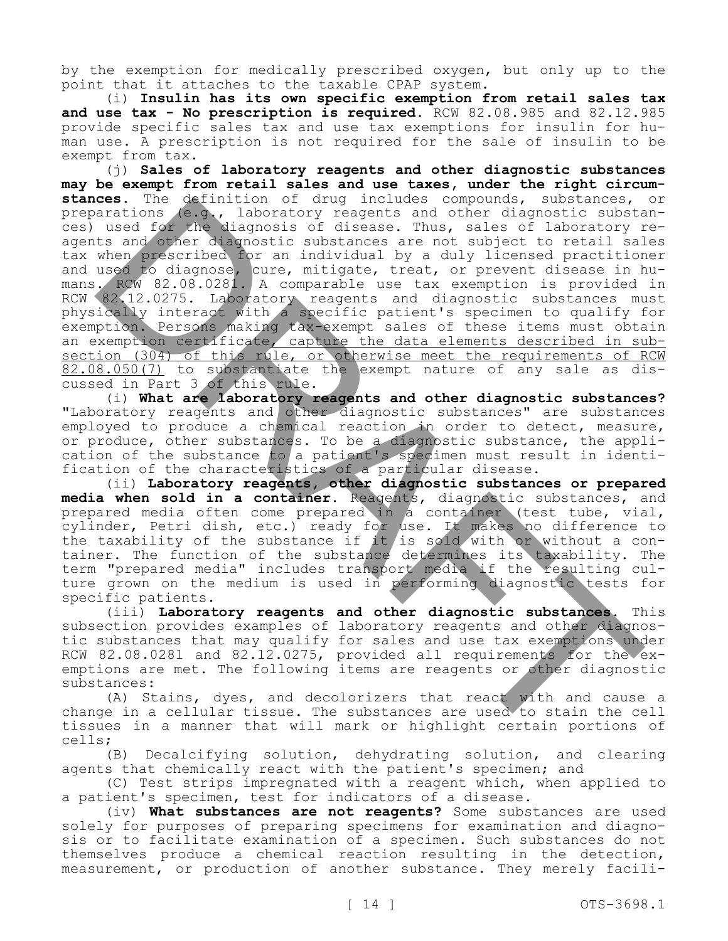by the exemption for medically prescribed oxygen, but only up to the point that it attaches to the taxable CPAP system.

(i) **Insulin has its own specific exemption from retail sales tax and use tax - No prescription is required.** RCW 82.08.985 and 82.12.985 provide specific sales tax and use tax exemptions for insulin for human use. A prescription is not required for the sale of insulin to be exempt from tax.

(j) **Sales of laboratory reagents and other diagnostic substances may be exempt from retail sales and use taxes, under the right circumstances.** The definition of drug includes compounds, substances, or preparations (e.g., laboratory reagents and other diagnostic substances) used for the diagnosis of disease. Thus, sales of laboratory reagents and other diagnostic substances are not subject to retail sales tax when prescribed for an individual by a duly licensed practitioner and used to diagnose, cure, mitigate, treat, or prevent disease in humans. RCW 82.08.0281. A comparable use tax exemption is provided in RCW 82.12.0275. Laboratory reagents and diagnostic substances must physically interact with a specific patient's specimen to qualify for exemption. Persons making tax-exempt sales of these items must obtain an exemption certificate, capture the data elements described in subsection (304) of this rule, or otherwise meet the requirements of RCM 82.08.050(7) to substantiate the exempt nature of any sale as discussed in Part 3 of this rule. ces. The Setaration of drag includes compounds, substance, we also that is used to the diagnostic substance in the diagnost distance in the set of the compounds of the set of the set of the set of the set of the set of the

(i) **What are laboratory reagents and other diagnostic substances?**  "Laboratory reagents and other diagnostic substances" are substances employed to produce a chemical reaction in order to detect, measure, or produce, other substances. To be a diagnostic substance, the application of the substance to a patient's specimen must result in identification of the characteristics of a particular disease.

(ii) **Laboratory reagents, other diagnostic substances or prepared media when sold in a container.** Reagents, diagnostic substances, and prepared media often come prepared in a container (test tube, vial, cylinder, Petri dish, etc.) ready for use. It makes no difference to the taxability of the substance if it is sold with or without a container. The function of the substance determines its taxability. The term "prepared media" includes transport media if the resulting culture grown on the medium is used in performing diagnostic tests for specific patients.

(iii) **Laboratory reagents and other diagnostic substances.** This subsection provides examples of laboratory reagents and other diagnostic substances that may qualify for sales and use tax exemptions under RCW 82.08.0281 and 82.12.0275, provided all requirements for the exemptions are met. The following items are reagents or other diagnostic substances:

(A) Stains, dyes, and decolorizers that react with and cause a change in a cellular tissue. The substances are used to stain the cell tissues in a manner that will mark or highlight certain portions of cells;

(B) Decalcifying solution, dehydrating solution, and clearing agents that chemically react with the patient's specimen; and

(C) Test strips impregnated with a reagent which, when applied to a patient's specimen, test for indicators of a disease.

(iv) **What substances are not reagents?** Some substances are used solely for purposes of preparing specimens for examination and diagnosis or to facilitate examination of a specimen. Such substances do not themselves produce a chemical reaction resulting in the detection, measurement, or production of another substance. They merely facili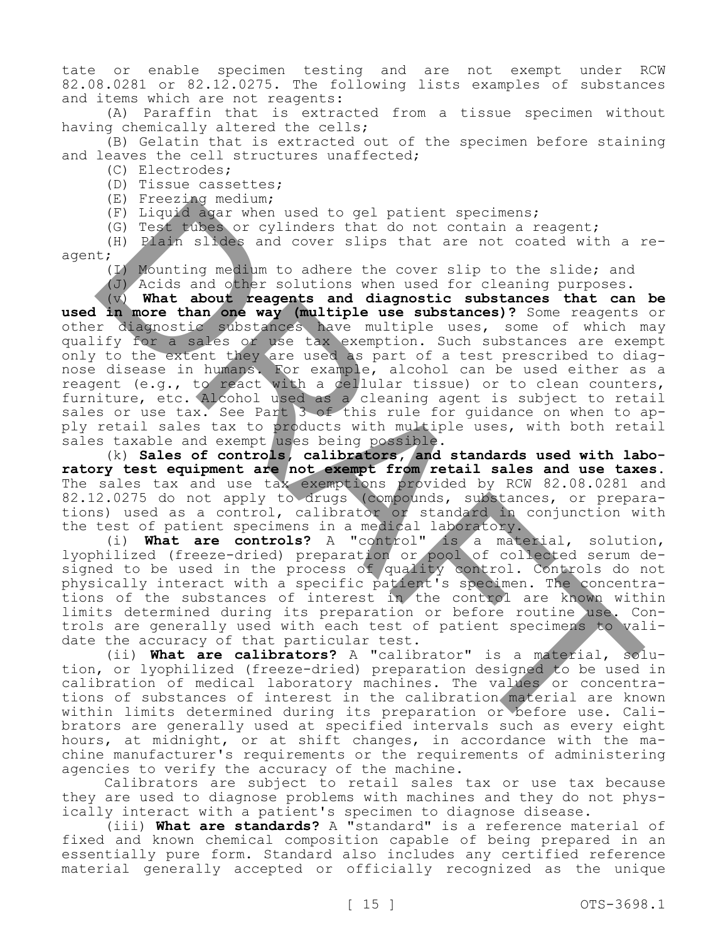tate or enable specimen testing and are not exempt under RCW 82.08.0281 or 82.12.0275. The following lists examples of substances and items which are not reagents:

(A) Paraffin that is extracted from a tissue specimen without having chemically altered the cells;

(B) Gelatin that is extracted out of the specimen before staining and leaves the cell structures unaffected;

- (C) Electrodes;
- (D) Tissue cassettes;
- (E) Freezing medium;
- (F) Liquid agar when used to gel patient specimens;
- (G) Test tubes or cylinders that do not contain a reagent;

(H) Plain slides and cover slips that are not coated with a reagent;

(I) Mounting medium to adhere the cover slip to the slide; and

(J) Acids and other solutions when used for cleaning purposes.

(v) **What about reagents and diagnostic substances that can be used in more than one way (multiple use substances)?** Some reagents or other diagnostic substances have multiple uses, some of which may qualify for a sales or use tax exemption. Such substances are exempt only to the extent they are used as part of a test prescribed to diagnose disease in humans. For example, alcohol can be used either as a reagent (e.g., to react with a cellular tissue) or to clean counters, furniture, etc. Alcohol used as a cleaning agent is subject to retail sales or use tax. See Part 3 of this rule for quidance on when to apply retail sales tax to products with multiple uses, with both retail sales taxable and exempt uses being possible. (R) Inseligations, we used to gel patient specimens;<br>(R) Liguid agen when used to gel patient specimens;<br>(B) Piasm shakes and cover slips that are not control with a<br>1(3) Piasm shakes and cover slips that are not control w

(k) **Sales of controls, calibrators, and standards used with laboratory test equipment are not exempt from retail sales and use taxes.**  The sales tax and use tax exemptions provided by RCW 82.08.0281 and 82.12.0275 do not apply to drugs (compounds, substances, or preparations) used as a control, calibrator or standard in conjunction with the test of patient specimens in a medical laboratory.

(i) **What are controls?** A "control" is a material, solution, lyophilized (freeze-dried) preparation or pool of collected serum designed to be used in the process of quality control. Controls do not physically interact with a specific patient's specimen. The concentrations of the substances of interest in the control are known within limits determined during its preparation or before routine use. Controls are generally used with each test of patient specimens to validate the accuracy of that particular test.

(ii) **What are calibrators?** A "calibrator" is a material, solution, or lyophilized (freeze-dried) preparation designed to be used in calibration of medical laboratory machines. The values or concentrations of substances of interest in the calibration material are known within limits determined during its preparation or before use. Calibrators are generally used at specified intervals such as every eight hours, at midnight, or at shift changes, in accordance with the machine manufacturer's requirements or the requirements of administering agencies to verify the accuracy of the machine.

Calibrators are subject to retail sales tax or use tax because they are used to diagnose problems with machines and they do not physically interact with a patient's specimen to diagnose disease.

(iii) **What are standards?** A "standard" is a reference material of fixed and known chemical composition capable of being prepared in an essentially pure form. Standard also includes any certified reference material generally accepted or officially recognized as the unique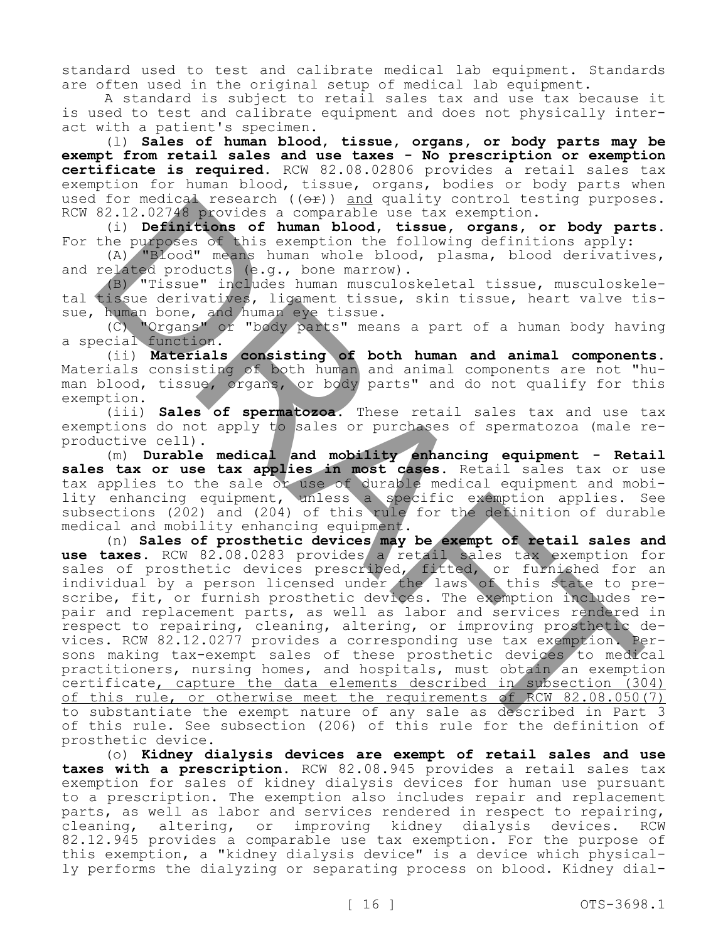standard used to test and calibrate medical lab equipment. Standards are often used in the original setup of medical lab equipment.

A standard is subject to retail sales tax and use tax because it is used to test and calibrate equipment and does not physically interact with a patient's specimen.

(l) **Sales of human blood, tissue, organs, or body parts may be exempt from retail sales and use taxes - No prescription or exemption certificate is required.** RCW 82.08.02806 provides a retail sales tax exemption for human blood, tissue, organs, bodies or body parts when used for medical research  $($   $($ o $\rightarrow$   $)$  and quality control testing purposes. RCW 82.12.02748 provides a comparable use tax exemption.

(i) **Definitions of human blood, tissue, organs, or body parts.**  For the purposes of this exemption the following definitions apply:

(A) "Blood" means human whole blood, plasma, blood derivatives, and related products (e.g., bone marrow).

(B) "Tissue" includes human musculoskeletal tissue, musculoskeletal tissue derivatives, ligament tissue, skin tissue, heart valve tissue, human bone, and human eye tissue.

(C) "Organs" or "body parts" means a part of a human body having a special function.

(ii) **Materials consisting of both human and animal components.**  Materials consisting of both human and animal components are not "human blood, tissue, organs, or body parts" and do not qualify for this exemption.

(iii) **Sales of spermatozoa.** These retail sales tax and use tax exemptions do not apply to sales or purchases of spermatozoa (male reproductive cell).

(m) **Durable medical and mobility enhancing equipment - Retail**  sales tax or use tax applies in most cases. Retail sales tax or use tax applies to the sale or use of durable medical equipment and mobility enhancing equipment, unless a specific exemption applies. See subsections (202) and (204) of this rule for the definition of durable medical and mobility enhancing equipment.

(n) **Sales of prosthetic devices may be exempt of retail sales and**  use taxes. RCW 82.08.0283 provides a retail sales tax exemption for sales of prosthetic devices prescribed, fitted, or furnished for an individual by a person licensed under the laws of this state to prescribe, fit, or furnish prosthetic devices. The exemption includes repair and replacement parts, as well as labor and services rendered in respect to repairing, cleaning, altering, or improving prosthetic devices. RCW 82.12.0277 provides a corresponding use tax exemption. Persons making tax-exempt sales of these prosthetic devices to medical practitioners, nursing homes, and hospitals, must obtain an exemption certificate, capture the data elements described in subsection (304) of this rule, or otherwise meet the requirements of RCW 82.08.050(7) to substantiate the exempt nature of any sale as described in Part 3 of this rule. See subsection (206) of this rule for the definition of prosthetic device. For meaning terms about the parallel under the state of purposes<br>
E2.12.02746 provides a comparable use tax exemption.<br>
(1) **Definitions** of human blood, these, organs, or body particles<br>
the purposes of this examption the

(o) **Kidney dialysis devices are exempt of retail sales and use taxes with a prescription.** RCW 82.08.945 provides a retail sales tax exemption for sales of kidney dialysis devices for human use pursuant to a prescription. The exemption also includes repair and replacement parts, as well as labor and services rendered in respect to repairing, cleaning, altering, or improving kidney dialysis devices. RCW 82.12.945 provides a comparable use tax exemption. For the purpose of this exemption, a "kidney dialysis device" is a device which physically performs the dialyzing or separating process on blood. Kidney dial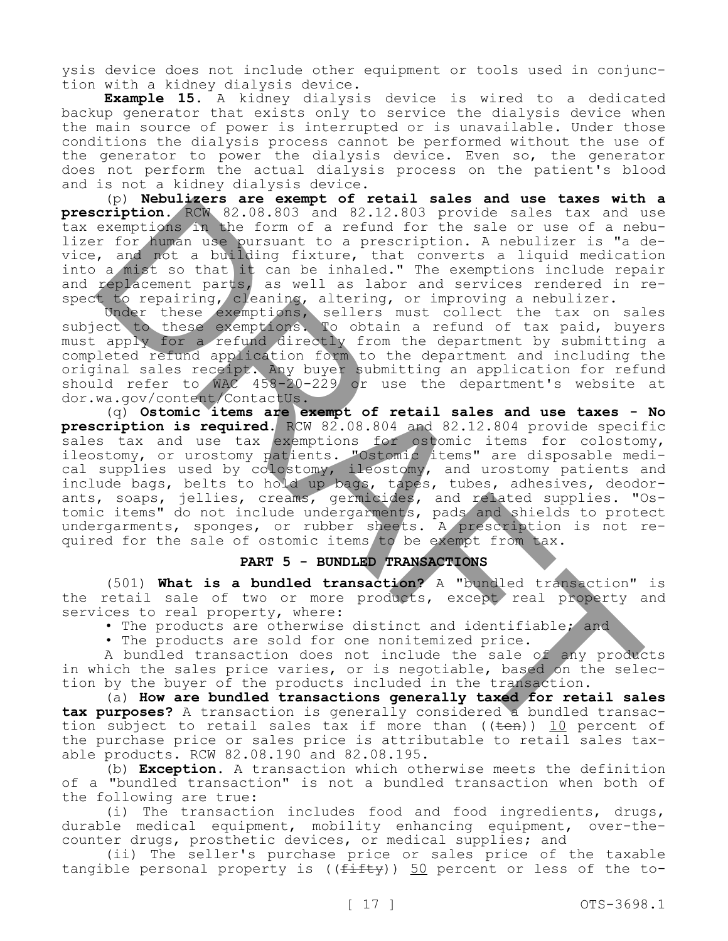ysis device does not include other equipment or tools used in conjunction with a kidney dialysis device.

**Example 15.** A kidney dialysis device is wired to a dedicated backup generator that exists only to service the dialysis device when the main source of power is interrupted or is unavailable. Under those conditions the dialysis process cannot be performed without the use of the generator to power the dialysis device. Even so, the generator does not perform the actual dialysis process on the patient's blood and is not a kidney dialysis device.

(p) **Nebulizers are exempt of retail sales and use taxes with a prescription.** RCW 82.08.803 and 82.12.803 provide sales tax and use tax exemptions in the form of a refund for the sale or use of a nebulizer for human use pursuant to a prescription. A nebulizer is "a device, and not a building fixture, that converts a liquid medication into a mist so that it can be inhaled." The exemptions include repair and replacement parts, as well as labor and services rendered in respect to repairing, cleaning, altering, or improving a nebulizer.

Under these exemptions, sellers must collect the tax on sales subject to these exemptions. To obtain a refund of tax paid, buyers must apply for a refund directly from the department by submitting a completed refund application form to the department and including the original sales receipt. Any buyer submitting an application for refund should refer to WAC 458-20-229 or use the department's website at dor.wa.gov/content/ContactUs.

(q) **Ostomic items are exempt of retail sales and use taxes - No prescription is required.** RCW 82.08.804 and 82.12.804 provide specific sales tax and use tax exemptions for ostomic items for colostomy, ileostomy, or urostomy patients. "Ostomic items" are disposable medical supplies used by colostomy, ileostomy, and urostomy patients and include bags, belts to hold up bags, tapes, tubes, adhesives, deodorants, soaps, jellies, creams, germicides, and related supplies. "Ostomic items" do not include undergarments, pads and shields to protect undergarments, sponges, or rubber sheets. A prescription is not required for the sale of ostomic items to be exempt from tax. (P) Newthere are exempt of retail sales and use takes with<br>cription, RCW 82.08.803 and \$2.12.803 provide sales tax and user<br>perspections. A bit form of a referred referred in the parameter of the<br>strained in the signal of

# **PART 5 - BUNDLED TRANSACTIONS**

(501) **What is a bundled transaction?** A "bundled transaction" is the retail sale of two or more products, except real property and services to real property, where:

• The products are otherwise distinct and identifiable; and

• The products are sold for one nonitemized price.

A bundled transaction does not include the sale of any products in which the sales price varies, or is negotiable, based on the selection by the buyer of the products included in the transaction.

(a) **How are bundled transactions generally taxed for retail sales tax purposes?** A transaction is generally considered a bundled transaction subject to retail sales tax if more than  $((\text{ten}))$  10 percent of the purchase price or sales price is attributable to retail sales taxable products. RCW 82.08.190 and 82.08.195.

(b) **Exception.** A transaction which otherwise meets the definition of a "bundled transaction" is not a bundled transaction when both of the following are true:

(i) The transaction includes food and food ingredients, drugs, durable medical equipment, mobility enhancing equipment, over-thecounter drugs, prosthetic devices, or medical supplies; and

(ii) The seller's purchase price or sales price of the taxable tangible personal property is  $((fiff+y))$  50 percent or less of the to